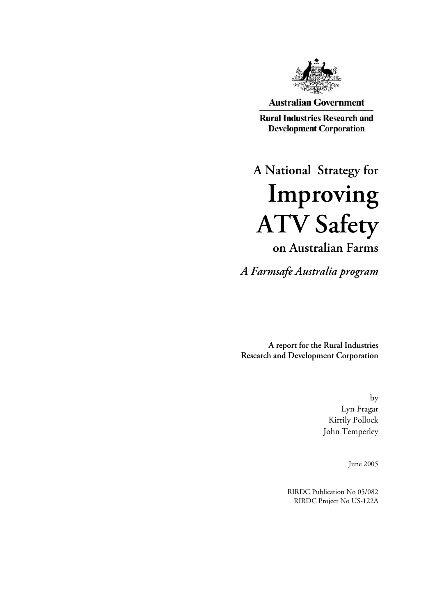

**Australian Government** 

**Rural Industries Research and Development Corporation** 

**A National Strategy for Improving ATV Safety on Australian Farms**

*A Farmsafe Australia program* 

**A report for the Rural Industries Research and Development Corporation** 

> by Lyn Fragar Kirrily Pollock John Temperley

> > June 2005

RIRDC Publication No 05/082 RIRDC Project No US-122A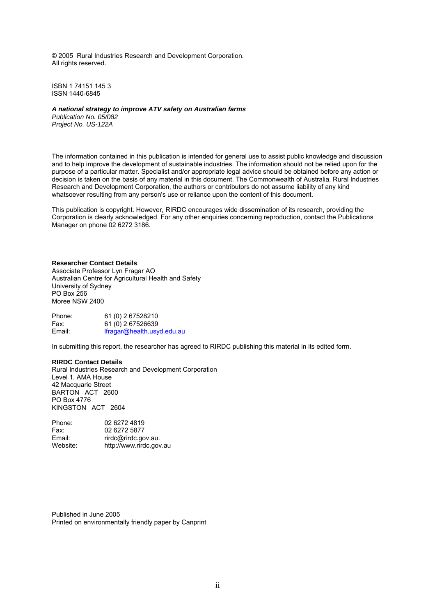© 2005 Rural Industries Research and Development Corporation. All rights reserved.

ISBN 1 74151 145 3 ISSN 1440-6845

#### *A national strategy to improve ATV safety on Australian farms*

*Publication No. 05/082 Project No. US-122A* 

The information contained in this publication is intended for general use to assist public knowledge and discussion and to help improve the development of sustainable industries. The information should not be relied upon for the purpose of a particular matter. Specialist and/or appropriate legal advice should be obtained before any action or decision is taken on the basis of any material in this document. The Commonwealth of Australia, Rural Industries Research and Development Corporation, the authors or contributors do not assume liability of any kind whatsoever resulting from any person's use or reliance upon the content of this document.

This publication is copyright. However, RIRDC encourages wide dissemination of its research, providing the Corporation is clearly acknowledged. For any other enquiries concerning reproduction, contact the Publications Manager on phone 02 6272 3186.

#### **Researcher Contact Details**

Associate Professor Lyn Fragar AO Australian Centre for Agricultural Health and Safety University of Sydney PO Box 256 Moree NSW 2400

Phone: 61 (0) 2 67528210 Fax: 61 (0) 2 67526639<br>Email: fragar@health.usv [lfragar@health.usyd.edu.au](mailto:lfragar@health.usyd.edu.au)

In submitting this report, the researcher has agreed to RIRDC publishing this material in its edited form.

#### **RIRDC Contact Details**

Rural Industries Research and Development Corporation Level 1, AMA House 42 Macquarie Street BARTON ACT 2600 PO Box 4776 KINGSTON ACT 2604

| 02 6272 4819            |
|-------------------------|
| 02 6272 5877            |
| rirdc@rirdc.gov.au.     |
| http://www.rirdc.gov.au |
|                         |

Published in June 2005 Printed on environmentally friendly paper by Canprint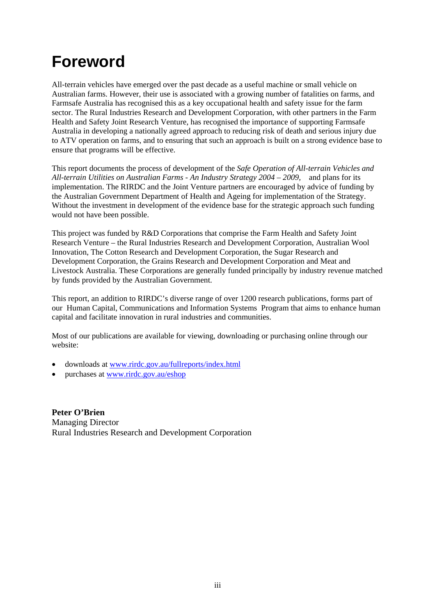# <span id="page-2-0"></span>**Foreword**

All-terrain vehicles have emerged over the past decade as a useful machine or small vehicle on Australian farms. However, their use is associated with a growing number of fatalities on farms, and Farmsafe Australia has recognised this as a key occupational health and safety issue for the farm sector. The Rural Industries Research and Development Corporation, with other partners in the Farm Health and Safety Joint Research Venture, has recognised the importance of supporting Farmsafe Australia in developing a nationally agreed approach to reducing risk of death and serious injury due to ATV operation on farms, and to ensuring that such an approach is built on a strong evidence base to ensure that programs will be effective.

This report documents the process of development of the *Safe Operation of All-terrain Vehicles and All-terrain Utilities on Australian Farms - An Industry Strategy 2004 – 2009,* and plans for its implementation. The RIRDC and the Joint Venture partners are encouraged by advice of funding by the Australian Government Department of Health and Ageing for implementation of the Strategy. Without the investment in development of the evidence base for the strategic approach such funding would not have been possible.

This project was funded by R&D Corporations that comprise the Farm Health and Safety Joint Research Venture – the Rural Industries Research and Development Corporation, Australian Wool Innovation, The Cotton Research and Development Corporation, the Sugar Research and Development Corporation, the Grains Research and Development Corporation and Meat and Livestock Australia. These Corporations are generally funded principally by industry revenue matched by funds provided by the Australian Government.

This report, an addition to RIRDC's diverse range of over 1200 research publications, forms part of our Human Capital, Communications and Information Systems Program that aims to enhance human capital and facilitate innovation in rural industries and communities.

Most of our publications are available for viewing, downloading or purchasing online through our website:

- downloads at [www.rirdc.gov.au/fullreports/index.html](http://www.rirdc.gov.au/fullreports/index.html)
- purchases at [www.rirdc.gov.au/eshop](http://www.rirdc.gov.au/eshop)

**Peter O'Brien**  Managing Director Rural Industries Research and Development Corporation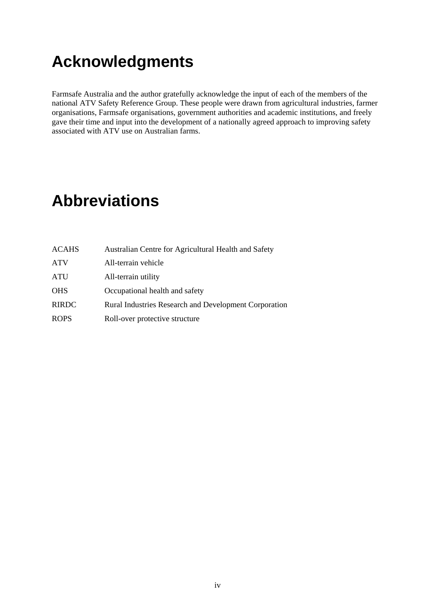# <span id="page-3-0"></span>**Acknowledgments**

Farmsafe Australia and the author gratefully acknowledge the input of each of the members of the national ATV Safety Reference Group. These people were drawn from agricultural industries, farmer organisations, Farmsafe organisations, government authorities and academic institutions, and freely gave their time and input into the development of a nationally agreed approach to improving safety associated with ATV use on Australian farms.

# <span id="page-3-1"></span>**Abbreviations**

| <b>ATV</b><br>All-terrain vehicle<br><b>ATU</b><br>All-terrain utility<br><b>OHS</b><br>Occupational health and safety<br><b>RIRDC</b><br><b>ROPS</b><br>Roll-over protective structure | <b>ACAHS</b> | Australian Centre for Agricultural Health and Safety         |
|-----------------------------------------------------------------------------------------------------------------------------------------------------------------------------------------|--------------|--------------------------------------------------------------|
|                                                                                                                                                                                         |              |                                                              |
|                                                                                                                                                                                         |              |                                                              |
|                                                                                                                                                                                         |              |                                                              |
|                                                                                                                                                                                         |              | <b>Rural Industries Research and Development Corporation</b> |
|                                                                                                                                                                                         |              |                                                              |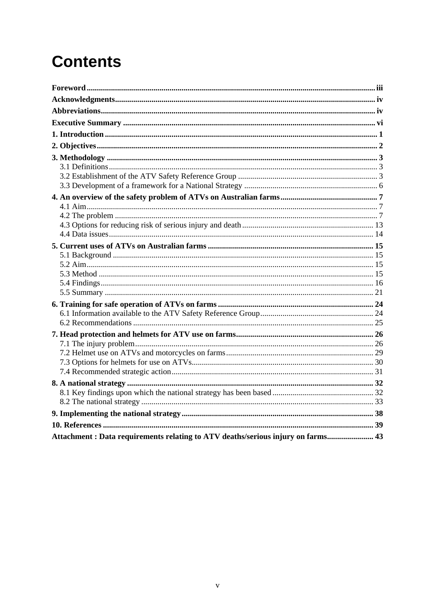# **Contents**

| Attachment: Data requirements relating to ATV deaths/serious injury on farms 43 |  |
|---------------------------------------------------------------------------------|--|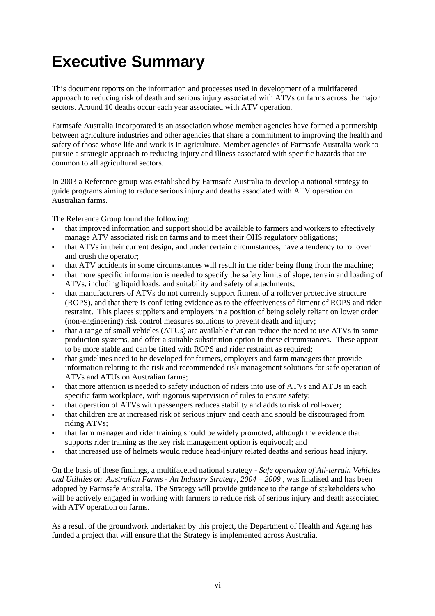# <span id="page-5-0"></span>**Executive Summary**

This document reports on the information and processes used in development of a multifaceted approach to reducing risk of death and serious injury associated with ATVs on farms across the major sectors. Around 10 deaths occur each year associated with ATV operation.

Farmsafe Australia Incorporated is an association whose member agencies have formed a partnership between agriculture industries and other agencies that share a commitment to improving the health and safety of those whose life and work is in agriculture. Member agencies of Farmsafe Australia work to pursue a strategic approach to reducing injury and illness associated with specific hazards that are common to all agricultural sectors.

In 2003 a Reference group was established by Farmsafe Australia to develop a national strategy to guide programs aiming to reduce serious injury and deaths associated with ATV operation on Australian farms.

The Reference Group found the following:

- that improved information and support should be available to farmers and workers to effectively manage ATV associated risk on farms and to meet their OHS regulatory obligations;
- that ATVs in their current design, and under certain circumstances, have a tendency to rollover and crush the operator;
- that ATV accidents in some circumstances will result in the rider being flung from the machine;
- that more specific information is needed to specify the safety limits of slope, terrain and loading of ATVs, including liquid loads, and suitability and safety of attachments;
- that manufacturers of ATVs do not currently support fitment of a rollover protective structure (ROPS), and that there is conflicting evidence as to the effectiveness of fitment of ROPS and rider restraint. This places suppliers and employers in a position of being solely reliant on lower order (non-engineering) risk control measures solutions to prevent death and injury;
- that a range of small vehicles (ATUs) are available that can reduce the need to use ATVs in some production systems, and offer a suitable substitution option in these circumstances. These appear to be more stable and can be fitted with ROPS and rider restraint as required;
- that guidelines need to be developed for farmers, employers and farm managers that provide information relating to the risk and recommended risk management solutions for safe operation of ATVs and ATUs on Australian farms;
- that more attention is needed to safety induction of riders into use of ATVs and ATUs in each specific farm workplace, with rigorous supervision of rules to ensure safety;
- that operation of ATVs with passengers reduces stability and adds to risk of roll-over;
- that children are at increased risk of serious injury and death and should be discouraged from riding ATVs;
- that farm manager and rider training should be widely promoted, although the evidence that supports rider training as the key risk management option is equivocal; and
- that increased use of helmets would reduce head-injury related deaths and serious head injury.

On the basis of these findings, a multifaceted national strategy - *Safe operation of All-terrain Vehicles and Utilities on Australian Farms - An Industry Strategy, 2004 – 2009 ,* was finalised and has been adopted by Farmsafe Australia. The Strategy will provide guidance to the range of stakeholders who will be actively engaged in working with farmers to reduce risk of serious injury and death associated with ATV operation on farms.

As a result of the groundwork undertaken by this project, the Department of Health and Ageing has funded a project that will ensure that the Strategy is implemented across Australia.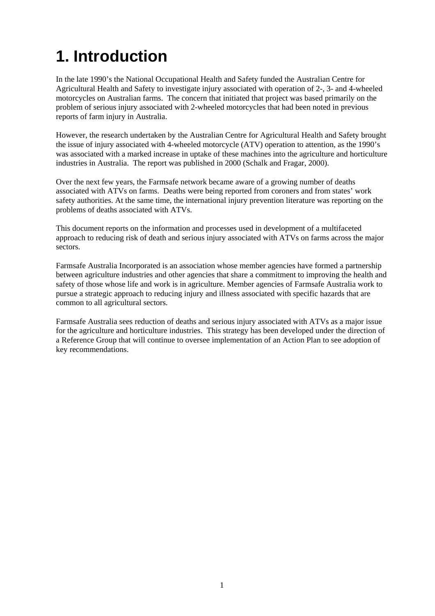# <span id="page-6-0"></span>**1. Introduction**

In the late 1990's the National Occupational Health and Safety funded the Australian Centre for Agricultural Health and Safety to investigate injury associated with operation of 2-, 3- and 4-wheeled motorcycles on Australian farms. The concern that initiated that project was based primarily on the problem of serious injury associated with 2-wheeled motorcycles that had been noted in previous reports of farm injury in Australia.

However, the research undertaken by the Australian Centre for Agricultural Health and Safety brought the issue of injury associated with 4-wheeled motorcycle (ATV) operation to attention, as the 1990's was associated with a marked increase in uptake of these machines into the agriculture and horticulture industries in Australia. The report was published in 2000 (Schalk and Fragar, 2000).

Over the next few years, the Farmsafe network became aware of a growing number of deaths associated with ATVs on farms. Deaths were being reported from coroners and from states' work safety authorities. At the same time, the international injury prevention literature was reporting on the problems of deaths associated with ATVs.

This document reports on the information and processes used in development of a multifaceted approach to reducing risk of death and serious injury associated with ATVs on farms across the major sectors.

Farmsafe Australia Incorporated is an association whose member agencies have formed a partnership between agriculture industries and other agencies that share a commitment to improving the health and safety of those whose life and work is in agriculture. Member agencies of Farmsafe Australia work to pursue a strategic approach to reducing injury and illness associated with specific hazards that are common to all agricultural sectors.

Farmsafe Australia sees reduction of deaths and serious injury associated with ATVs as a major issue for the agriculture and horticulture industries. This strategy has been developed under the direction of a Reference Group that will continue to oversee implementation of an Action Plan to see adoption of key recommendations.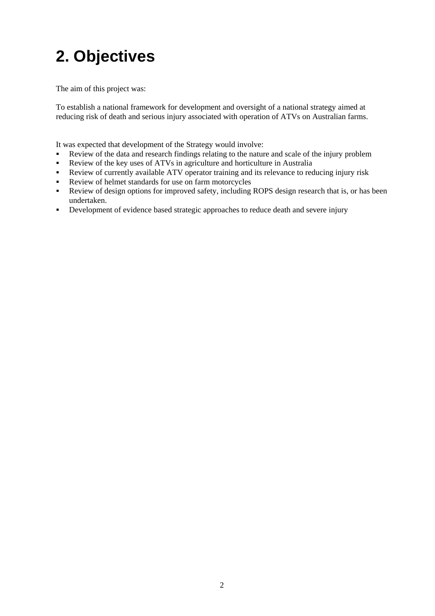# <span id="page-7-0"></span>**2. Objectives**

The aim of this project was:

To establish a national framework for development and oversight of a national strategy aimed at reducing risk of death and serious injury associated with operation of ATVs on Australian farms.

It was expected that development of the Strategy would involve:

- Review of the data and research findings relating to the nature and scale of the injury problem
- Review of the key uses of ATVs in agriculture and horticulture in Australia
- Review of currently available ATV operator training and its relevance to reducing injury risk
- Review of helmet standards for use on farm motorcycles
- Review of design options for improved safety, including ROPS design research that is, or has been undertaken.
- Development of evidence based strategic approaches to reduce death and severe injury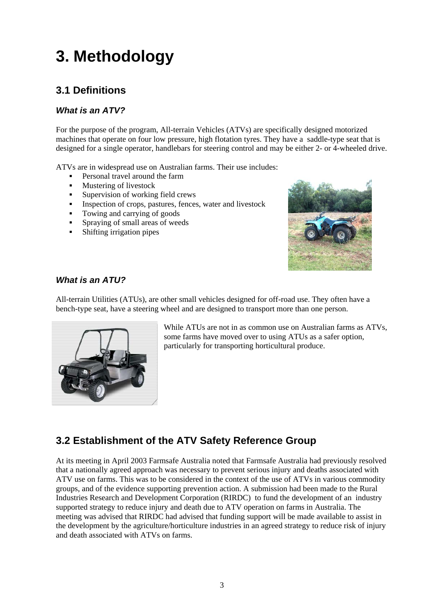# <span id="page-8-0"></span>**3. Methodology**

# <span id="page-8-1"></span>**3.1 Definitions**

# *What is an ATV?*

For the purpose of the program, All-terrain Vehicles (ATVs) are specifically designed motorized machines that operate on four low pressure, high flotation tyres. They have a saddle-type seat that is designed for a single operator, handlebars for steering control and may be either 2- or 4-wheeled drive.

ATVs are in widespread use on Australian farms. Their use includes:

- Personal travel around the farm
- **Mustering of livestock**
- **Supervision of working field crews**
- Inspection of crops, pastures, fences, water and livestock
- Towing and carrying of goods
- Spraying of small areas of weeds
- Shifting irrigation pipes



## *What is an ATU?*

All-terrain Utilities (ATUs), are other small vehicles designed for off-road use. They often have a bench-type seat, have a steering wheel and are designed to transport more than one person.



While ATUs are not in as common use on Australian farms as ATVs, some farms have moved over to using ATUs as a safer option, particularly for transporting horticultural produce.

# <span id="page-8-2"></span>**3.2 Establishment of the ATV Safety Reference Group**

At its meeting in April 2003 Farmsafe Australia noted that Farmsafe Australia had previously resolved that a nationally agreed approach was necessary to prevent serious injury and deaths associated with ATV use on farms. This was to be considered in the context of the use of ATVs in various commodity groups, and of the evidence supporting prevention action. A submission had been made to the Rural Industries Research and Development Corporation (RIRDC) to fund the development of an industry supported strategy to reduce injury and death due to ATV operation on farms in Australia. The meeting was advised that RIRDC had advised that funding support will be made available to assist in the development by the agriculture/horticulture industries in an agreed strategy to reduce risk of injury and death associated with ATVs on farms.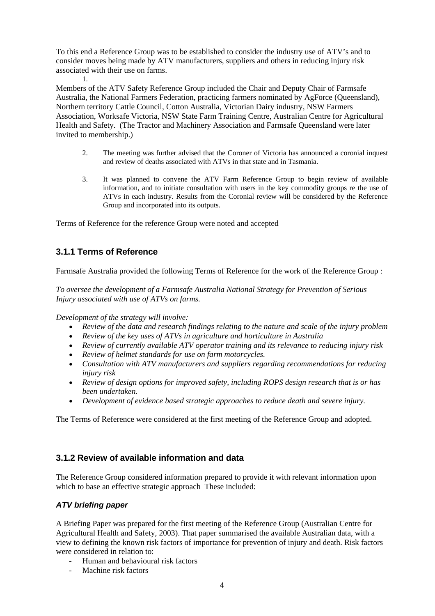To this end a Reference Group was to be established to consider the industry use of ATV's and to consider moves being made by ATV manufacturers, suppliers and others in reducing injury risk associated with their use on farms.

1. Members of the ATV Safety Reference Group included the Chair and Deputy Chair of Farmsafe Australia, the National Farmers Federation, practicing farmers nominated by AgForce (Queensland), Northern territory Cattle Council, Cotton Australia, Victorian Dairy industry, NSW Farmers Association, Worksafe Victoria, NSW State Farm Training Centre, Australian Centre for Agricultural Health and Safety. (The Tractor and Machinery Association and Farmsafe Queensland were later invited to membership.)

- 2. The meeting was further advised that the Coroner of Victoria has announced a coronial inquest and review of deaths associated with ATVs in that state and in Tasmania.
- 3. It was planned to convene the ATV Farm Reference Group to begin review of available information, and to initiate consultation with users in the key commodity groups re the use of ATVs in each industry. Results from the Coronial review will be considered by the Reference Group and incorporated into its outputs.

Terms of Reference for the reference Group were noted and accepted

# **3.1.1 Terms of Reference**

Farmsafe Australia provided the following Terms of Reference for the work of the Reference Group :

*To oversee the development of a Farmsafe Australia National Strategy for Prevention of Serious Injury associated with use of ATVs on farms.* 

*Development of the strategy will involve:* 

- *Review of the data and research findings relating to the nature and scale of the injury problem*
- *Review of the key uses of ATVs in agriculture and horticulture in Australia*
- *Review of currently available ATV operator training and its relevance to reducing injury risk*
- *Review of helmet standards for use on farm motorcycles.*
- *Consultation with ATV manufacturers and suppliers regarding recommendations for reducing injury risk*
- *Review of design options for improved safety, including ROPS design research that is or has been undertaken.*
- *Development of evidence based strategic approaches to reduce death and severe injury.*

The Terms of Reference were considered at the first meeting of the Reference Group and adopted.

# **3.1.2 Review of available information and data**

The Reference Group considered information prepared to provide it with relevant information upon which to base an effective strategic approach These included:

## *ATV briefing paper*

A Briefing Paper was prepared for the first meeting of the Reference Group (Australian Centre for Agricultural Health and Safety, 2003). That paper summarised the available Australian data, with a view to defining the known risk factors of importance for prevention of injury and death. Risk factors were considered in relation to:

- Human and behavioural risk factors
- Machine risk factors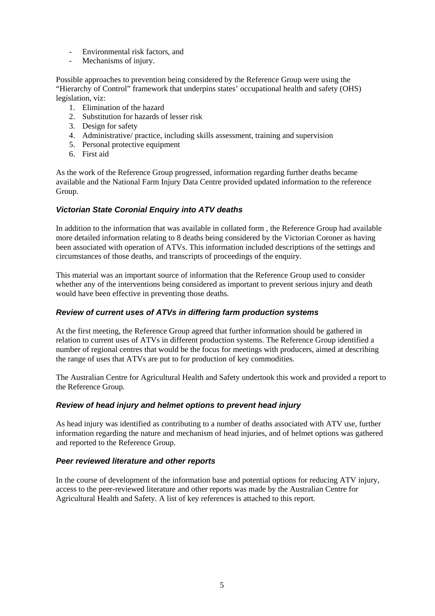- Environmental risk factors, and
- Mechanisms of injury.

Possible approaches to prevention being considered by the Reference Group were using the "Hierarchy of Control" framework that underpins states' occupational health and safety (OHS) legislation, viz:

- 1. Elimination of the hazard
- 2. Substitution for hazards of lesser risk
- 3. Design for safety
- 4. Administrative/ practice, including skills assessment, training and supervision
- 5. Personal protective equipment
- 6. First aid

As the work of the Reference Group progressed, information regarding further deaths became available and the National Farm Injury Data Centre provided updated information to the reference Group.

## *Victorian State Coronial Enquiry into ATV deaths*

In addition to the information that was available in collated form , the Reference Group had available more detailed information relating to 8 deaths being considered by the Victorian Coroner as having been associated with operation of ATVs. This information included descriptions of the settings and circumstances of those deaths, and transcripts of proceedings of the enquiry.

This material was an important source of information that the Reference Group used to consider whether any of the interventions being considered as important to prevent serious injury and death would have been effective in preventing those deaths.

### *Review of current uses of ATVs in differing farm production systems*

At the first meeting, the Reference Group agreed that further information should be gathered in relation to current uses of ATVs in different production systems. The Reference Group identified a number of regional centres that would be the focus for meetings with producers, aimed at describing the range of uses that ATVs are put to for production of key commodities.

The Australian Centre for Agricultural Health and Safety undertook this work and provided a report to the Reference Group.

## *Review of head injury and helmet options to prevent head injury*

As head injury was identified as contributing to a number of deaths associated with ATV use, further information regarding the nature and mechanism of head injuries, and of helmet options was gathered and reported to the Reference Group.

### *Peer reviewed literature and other reports*

In the course of development of the information base and potential options for reducing ATV injury, access to the peer-reviewed literature and other reports was made by the Australian Centre for Agricultural Health and Safety. A list of key references is attached to this report.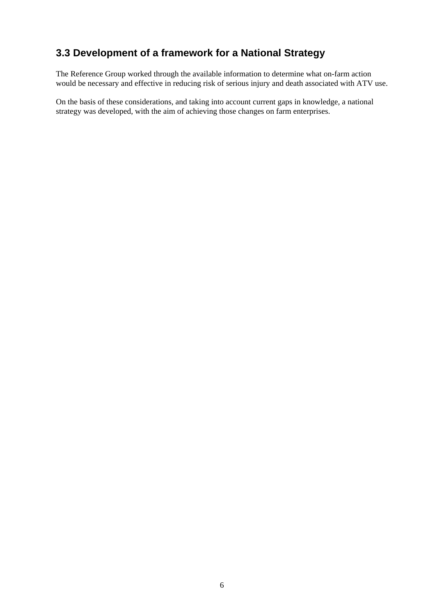# <span id="page-11-0"></span>**3.3 Development of a framework for a National Strategy**

The Reference Group worked through the available information to determine what on-farm action would be necessary and effective in reducing risk of serious injury and death associated with ATV use.

On the basis of these considerations, and taking into account current gaps in knowledge, a national strategy was developed, with the aim of achieving those changes on farm enterprises.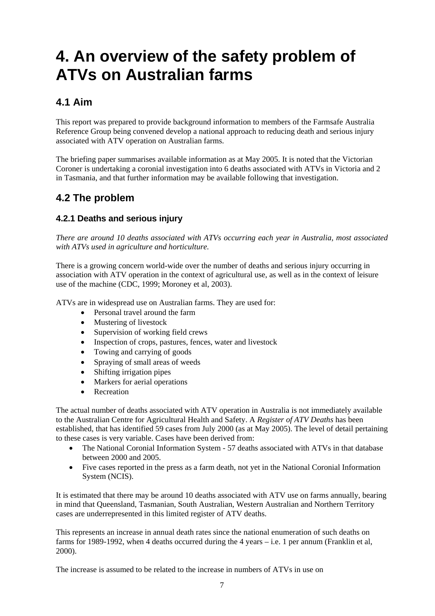# <span id="page-12-0"></span>**4. An overview of the safety problem of ATVs on Australian farms**

# <span id="page-12-1"></span>**4.1 Aim**

This report was prepared to provide background information to members of the Farmsafe Australia Reference Group being convened develop a national approach to reducing death and serious injury associated with ATV operation on Australian farms.

The briefing paper summarises available information as at May 2005. It is noted that the Victorian Coroner is undertaking a coronial investigation into 6 deaths associated with ATVs in Victoria and 2 in Tasmania, and that further information may be available following that investigation.

# <span id="page-12-2"></span>**4.2 The problem**

# **4.2.1 Deaths and serious injury**

*There are around 10 deaths associated with ATVs occurring each year in Australia, most associated with ATVs used in agriculture and horticulture.* 

There is a growing concern world-wide over the number of deaths and serious injury occurring in association with ATV operation in the context of agricultural use, as well as in the context of leisure use of the machine (CDC, 1999; Moroney et al, 2003).

ATVs are in widespread use on Australian farms. They are used for:

- Personal travel around the farm
- Mustering of livestock
- Supervision of working field crews
- Inspection of crops, pastures, fences, water and livestock
- Towing and carrying of goods
- Spraying of small areas of weeds
- Shifting irrigation pipes
- Markers for aerial operations
- Recreation

The actual number of deaths associated with ATV operation in Australia is not immediately available to the Australian Centre for Agricultural Health and Safety. A *Register of ATV Deaths* has been established, that has identified 59 cases from July 2000 (as at May 2005). The level of detail pertaining to these cases is very variable. Cases have been derived from:

- The National Coronial Information System 57 deaths associated with ATVs in that database between 2000 and 2005.
- Five cases reported in the press as a farm death, not yet in the National Coronial Information System (NCIS).

It is estimated that there may be around 10 deaths associated with ATV use on farms annually, bearing in mind that Queensland, Tasmanian, South Australian, Western Australian and Northern Territory cases are underrepresented in this limited register of ATV deaths.

This represents an increase in annual death rates since the national enumeration of such deaths on farms for 1989-1992, when 4 deaths occurred during the 4 years – i.e. 1 per annum (Franklin et al, 2000).

The increase is assumed to be related to the increase in numbers of ATVs in use on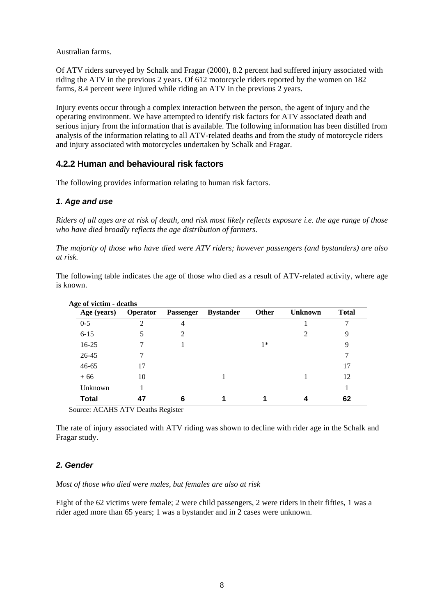Australian farms.

Of ATV riders surveyed by Schalk and Fragar (2000), 8.2 percent had suffered injury associated with riding the ATV in the previous 2 years. Of 612 motorcycle riders reported by the women on 182 farms, 8.4 percent were injured while riding an ATV in the previous 2 years.

Injury events occur through a complex interaction between the person, the agent of injury and the operating environment. We have attempted to identify risk factors for ATV associated death and serious injury from the information that is available. The following information has been distilled from analysis of the information relating to all ATV-related deaths and from the study of motorcycle riders and injury associated with motorcycles undertaken by Schalk and Fragar.

## **4.2.2 Human and behavioural risk factors**

The following provides information relating to human risk factors.

### *1. Age and use*

*Riders of all ages are at risk of death, and risk most likely reflects exposure i.e. the age range of those who have died broadly reflects the age distribution of farmers.* 

*The majority of those who have died were ATV riders; however passengers (and bystanders) are also at risk.* 

The following table indicates the age of those who died as a result of ATV-related activity, where age is known.

| Age (years)  | <b>Operator</b> | <b>Passenger</b> | <b>Bystander</b> | Other | <b>Unknown</b> | <b>Total</b> |
|--------------|-----------------|------------------|------------------|-------|----------------|--------------|
| $0 - 5$      | 2               | 4                |                  |       |                |              |
| $6 - 15$     |                 | $\mathfrak{D}$   |                  |       |                | 9            |
| $16-25$      |                 |                  |                  | $1*$  |                | 9            |
| 26-45        |                 |                  |                  |       |                |              |
| $46 - 65$    | 17              |                  |                  |       |                | 17           |
| $+66$        | 10              |                  |                  |       |                | 12           |
| Unknown      |                 |                  |                  |       |                |              |
| <b>Total</b> | 47              | 6                |                  |       |                | 62           |

Source: ACAHS ATV Deaths Register

The rate of injury associated with ATV riding was shown to decline with rider age in the Schalk and Fragar study.

### *2. Gender*

*Most of those who died were males, but females are also at risk* 

Eight of the 62 victims were female; 2 were child passengers, 2 were riders in their fifties, 1 was a rider aged more than 65 years; 1 was a bystander and in 2 cases were unknown.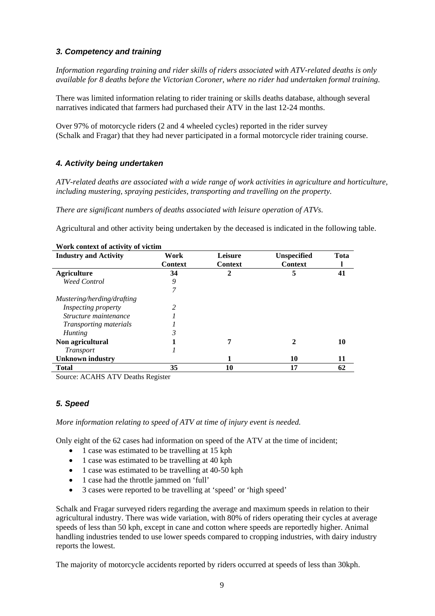## *3. Competency and training*

*Information regarding training and rider skills of riders associated with ATV-related deaths is only available for 8 deaths before the Victorian Coroner, where no rider had undertaken formal training.* 

There was limited information relating to rider training or skills deaths database, although several narratives indicated that farmers had purchased their ATV in the last 12-24 months.

Over 97% of motorcycle riders (2 and 4 wheeled cycles) reported in the rider survey (Schalk and Fragar) that they had never participated in a formal motorcycle rider training course.

## *4. Activity being undertaken*

*ATV-related deaths are associated with a wide range of work activities in agriculture and horticulture, including mustering, spraying pesticides, transporting and travelling on the property.* 

*There are significant numbers of deaths associated with leisure operation of ATVs.* 

Agricultural and other activity being undertaken by the deceased is indicated in the following table.

| <b>Industry and Activity</b>  | Work<br><b>Context</b> | Leisure<br><b>Context</b> | <b>Unspecified</b><br><b>Context</b> | Tota |
|-------------------------------|------------------------|---------------------------|--------------------------------------|------|
| <b>Agriculture</b>            | 34                     | 2                         | 5                                    | 41   |
| <b>Weed Control</b>           | 9                      |                           |                                      |      |
|                               | 7                      |                           |                                      |      |
| Mustering/herding/drafting    |                        |                           |                                      |      |
| <i>Inspecting property</i>    | 2                      |                           |                                      |      |
| Structure maintenance         |                        |                           |                                      |      |
| <i>Transporting materials</i> |                        |                           |                                      |      |
| <b>Hunting</b>                | 3                      |                           |                                      |      |
| Non agricultural              |                        | 7                         | $\mathbf 2$                          | 10   |
| <i>Transport</i>              |                        |                           |                                      |      |
| <b>Unknown industry</b>       |                        | 1                         | 10                                   | 11   |
| <b>Total</b>                  | 35                     | 10                        | 17                                   | 62   |

**Work context of activity of victim** 

Source: ACAHS ATV Deaths Register

## *5. Speed*

*More information relating to speed of ATV at time of injury event is needed.* 

Only eight of the 62 cases had information on speed of the ATV at the time of incident;

- 1 case was estimated to be travelling at 15 kph
- 1 case was estimated to be travelling at 40 kph
- 1 case was estimated to be travelling at 40-50 kph
- 1 case had the throttle jammed on 'full'
- 3 cases were reported to be travelling at 'speed' or 'high speed'

Schalk and Fragar surveyed riders regarding the average and maximum speeds in relation to their agricultural industry. There was wide variation, with 80% of riders operating their cycles at average speeds of less than 50 kph, except in cane and cotton where speeds are reportedly higher. Animal handling industries tended to use lower speeds compared to cropping industries, with dairy industry reports the lowest.

The majority of motorcycle accidents reported by riders occurred at speeds of less than 30kph.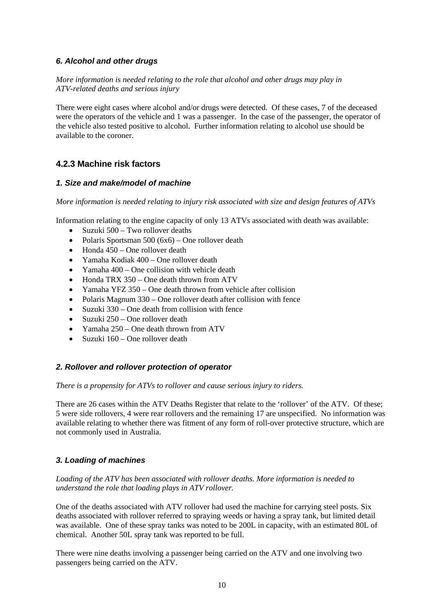### *6. Alcohol and other drugs*

*More information is needed relating to the role that alcohol and other drugs may play in ATV-related deaths and serious injury* 

There were eight cases where alcohol and/or drugs were detected. Of these cases, 7 of the deceased were the operators of the vehicle and 1 was a passenger. In the case of the passenger, the operator of the vehicle also tested positive to alcohol. Further information relating to alcohol use should be available to the coroner.

# **4.2.3 Machine risk factors**

### *1. Size and make/model of machine*

*More information is needed relating to injury risk associated with size and design features of ATVs* 

Information relating to the engine capacity of only 13 ATVs associated with death was available:

- Suzuki 500 Two rollover deaths
- Polaris Sportsman 500 (6x6) One rollover death
- Honda 450 One rollover death
- Yamaha Kodiak 400 One rollover death
- Yamaha 400 One collision with vehicle death
- Honda TRX 350 One death thrown from ATV
- Yamaha YFZ 350 One death thrown from vehicle after collision
- Polaris Magnum 330 One rollover death after collision with fence
- Suzuki 330 One death from collision with fence
- Suzuki 250 One rollover death
- Yamaha 250 One death thrown from ATV
- Suzuki 160 One rollover death

## *2. Rollover and rollover protection of operator*

### *There is a propensity for ATVs to rollover and cause serious injury to riders.*

There are 26 cases within the ATV Deaths Register that relate to the 'rollover' of the ATV. Of these; 5 were side rollovers, 4 were rear rollovers and the remaining 17 are unspecified. No information was available relating to whether there was fitment of any form of roll-over protective structure, which are not commonly used in Australia.

## *3. Loading of machines*

### *Loading of the ATV has been associated with rollover deaths. More information is needed to understand the role that loading plays in ATV rollover.*

One of the deaths associated with ATV rollover had used the machine for carrying steel posts. Six deaths associated with rollover referred to spraying weeds or having a spray tank, but limited detail was available. One of these spray tanks was noted to be 200L in capacity, with an estimated 80L of chemical. Another 50L spray tank was reported to be full.

There were nine deaths involving a passenger being carried on the ATV and one involving two passengers being carried on the ATV.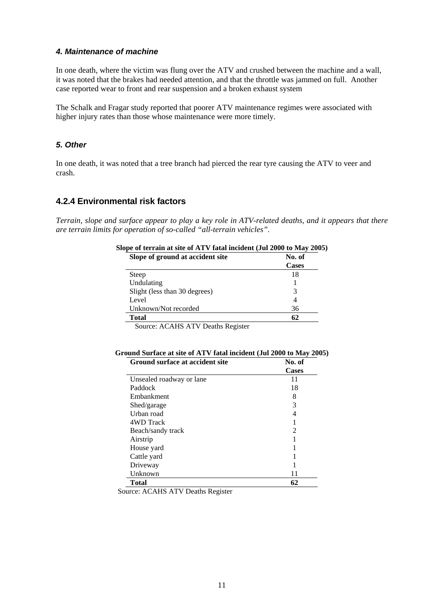### *4. Maintenance of machine*

In one death, where the victim was flung over the ATV and crushed between the machine and a wall, it was noted that the brakes had needed attention, and that the throttle was jammed on full. Another case reported wear to front and rear suspension and a broken exhaust system

The Schalk and Fragar study reported that poorer ATV maintenance regimes were associated with higher injury rates than those whose maintenance were more timely.

### *5. Other*

In one death, it was noted that a tree branch had pierced the rear tyre causing the ATV to veer and crash.

### **4.2.4 Environmental risk factors**

*Terrain, slope and surface appear to play a key role in ATV-related deaths, and it appears that there are terrain limits for operation of so-called "all-terrain vehicles".* 

| Slope of terrain at site of ATV fatal incident (Jul 2000 to May 2005) |  |  |
|-----------------------------------------------------------------------|--|--|
| No. of                                                                |  |  |
| <b>Cases</b>                                                          |  |  |
| 18                                                                    |  |  |
|                                                                       |  |  |
| 3                                                                     |  |  |
| 4                                                                     |  |  |
| 36                                                                    |  |  |
| 62                                                                    |  |  |
|                                                                       |  |  |

Source: ACAHS ATV Deaths Register

| Ground Surface at site of ATV fatal incident (Jul 2000 to May 2005) |                 |
|---------------------------------------------------------------------|-----------------|
| Crown gurface of coorder gits                                       | $N_{\alpha}$ of |

| Ground surface at accident site | N0. OI       |
|---------------------------------|--------------|
|                                 | <b>Cases</b> |
| Unsealed roadway or lane        | 11           |
| Paddock                         | 18           |
| Embankment                      | 8            |
| Shed/garage                     | 3            |
| Urban road                      | 4            |
| 4WD Track                       |              |
| Beach/sandy track               | 2            |
| Airstrip                        |              |
| House yard                      |              |
| Cattle yard                     |              |
| Driveway                        |              |
| Unknown                         | 11           |
| Total                           | 62           |

Source: ACAHS ATV Deaths Register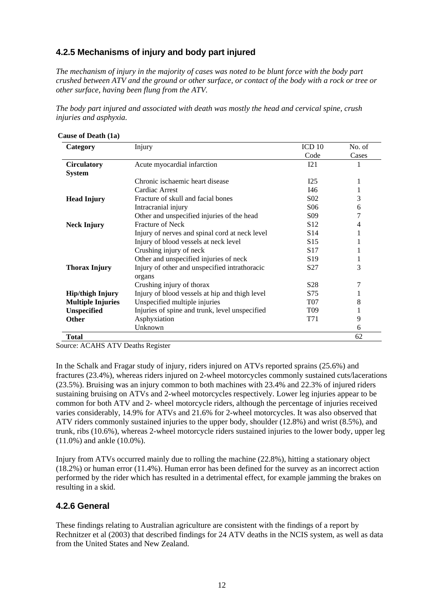# **4.2.5 Mechanisms of injury and body part injured**

*The mechanism of injury in the majority of cases was noted to be blunt force with the body part crushed between ATV and the ground or other surface, or contact of the body with a rock or tree or other surface, having been flung from the ATV.* 

*The body part injured and associated with death was mostly the head and cervical spine, crush injuries and asphyxia.* 

| Category                 | Injury                                         | ICD <sub>10</sub> | No. of |
|--------------------------|------------------------------------------------|-------------------|--------|
|                          |                                                | Code              | Cases  |
| <b>Circulatory</b>       | Acute myocardial infarction                    | I21               |        |
| <b>System</b>            |                                                |                   |        |
|                          | Chronic ischaemic heart disease                | I25               | 1      |
|                          | Cardiac Arrest                                 | I46               | 1      |
| <b>Head Injury</b>       | Fracture of skull and facial bones             | S <sub>0</sub> 2  | 3      |
|                          | Intracranial injury                            | S <sub>06</sub>   | 6      |
|                          | Other and unspecified injuries of the head     | S <sub>09</sub>   |        |
| <b>Neck Injury</b>       | <b>Fracture of Neck</b>                        | S <sub>12</sub>   | 4      |
|                          | Injury of nerves and spinal cord at neck level | S <sub>14</sub>   |        |
|                          | Injury of blood vessels at neck level          | S <sub>15</sub>   |        |
|                          | Crushing injury of neck                        | S <sub>17</sub>   |        |
|                          | Other and unspecified injuries of neck         | S <sub>19</sub>   | 1      |
| <b>Thorax Injury</b>     | Injury of other and unspecified intrathoracic  | S <sub>27</sub>   | 3      |
|                          | organs                                         |                   |        |
|                          | Crushing injury of thorax                      | S <sub>28</sub>   | 7      |
| <b>Hip/thigh Injury</b>  | Injury of blood vessels at hip and thigh level | S75               |        |
| <b>Multiple Injuries</b> | Unspecified multiple injuries                  | <b>T07</b>        | 8      |
| <b>Unspecified</b>       | Injuries of spine and trunk, level unspecified | T <sub>09</sub>   |        |
| <b>Other</b>             | Asphyxiation                                   | T71               | 9      |
|                          | Unknown                                        |                   | 6      |
| Total                    |                                                |                   | 62     |

Source: ACAHS ATV Deaths Register

In the Schalk and Fragar study of injury, riders injured on ATVs reported sprains (25.6%) and fractures (23.4%), whereas riders injured on 2-wheel motorcycles commonly sustained cuts/lacerations (23.5%). Bruising was an injury common to both machines with 23.4% and 22.3% of injured riders sustaining bruising on ATVs and 2-wheel motorcycles respectively. Lower leg injuries appear to be common for both ATV and 2- wheel motorcycle riders, although the percentage of injuries received varies considerably, 14.9% for ATVs and 21.6% for 2-wheel motorcycles. It was also observed that ATV riders commonly sustained injuries to the upper body, shoulder (12.8%) and wrist (8.5%), and trunk, ribs (10.6%), whereas 2-wheel motorcycle riders sustained injuries to the lower body, upper leg (11.0%) and ankle (10.0%).

Injury from ATVs occurred mainly due to rolling the machine (22.8%), hitting a stationary object (18.2%) or human error (11.4%). Human error has been defined for the survey as an incorrect action performed by the rider which has resulted in a detrimental effect, for example jamming the brakes on resulting in a skid.

# **4.2.6 General**

These findings relating to Australian agriculture are consistent with the findings of a report by Rechnitzer et al (2003) that described findings for 24 ATV deaths in the NCIS system, as well as data from the United States and New Zealand.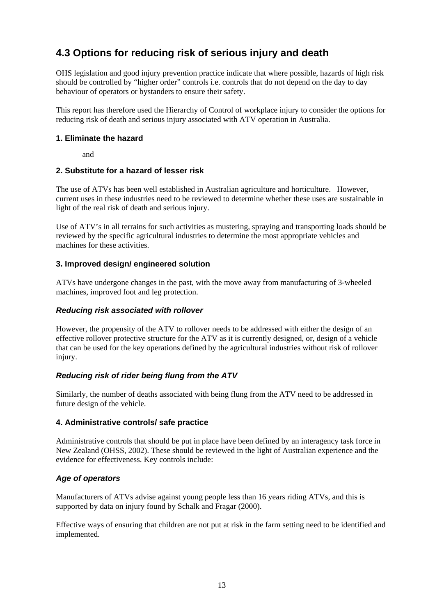# <span id="page-18-0"></span>**4.3 Options for reducing risk of serious injury and death**

OHS legislation and good injury prevention practice indicate that where possible, hazards of high risk should be controlled by "higher order" controls i.e. controls that do not depend on the day to day behaviour of operators or bystanders to ensure their safety.

This report has therefore used the Hierarchy of Control of workplace injury to consider the options for reducing risk of death and serious injury associated with ATV operation in Australia.

### **1. Eliminate the hazard**

and

### **2. Substitute for a hazard of lesser risk**

The use of ATVs has been well established in Australian agriculture and horticulture. However, current uses in these industries need to be reviewed to determine whether these uses are sustainable in light of the real risk of death and serious injury.

Use of ATV's in all terrains for such activities as mustering, spraying and transporting loads should be reviewed by the specific agricultural industries to determine the most appropriate vehicles and machines for these activities.

## **3. Improved design/ engineered solution**

ATVs have undergone changes in the past, with the move away from manufacturing of 3-wheeled machines, improved foot and leg protection.

### *Reducing risk associated with rollover*

However, the propensity of the ATV to rollover needs to be addressed with either the design of an effective rollover protective structure for the ATV as it is currently designed, or, design of a vehicle that can be used for the key operations defined by the agricultural industries without risk of rollover injury.

## *Reducing risk of rider being flung from the ATV*

Similarly, the number of deaths associated with being flung from the ATV need to be addressed in future design of the vehicle.

## **4. Administrative controls/ safe practice**

Administrative controls that should be put in place have been defined by an interagency task force in New Zealand (OHSS, 2002). These should be reviewed in the light of Australian experience and the evidence for effectiveness. Key controls include:

## *Age of operators*

Manufacturers of ATVs advise against young people less than 16 years riding ATVs, and this is supported by data on injury found by Schalk and Fragar (2000).

Effective ways of ensuring that children are not put at risk in the farm setting need to be identified and implemented.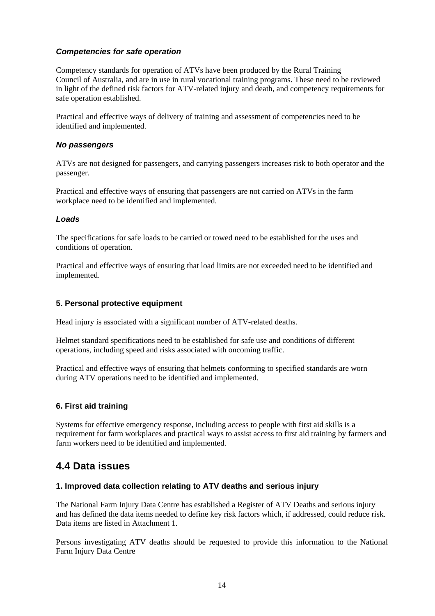## *Competencies for safe operation*

Competency standards for operation of ATVs have been produced by the Rural Training Council of Australia, and are in use in rural vocational training programs. These need to be reviewed in light of the defined risk factors for ATV-related injury and death, and competency requirements for safe operation established.

Practical and effective ways of delivery of training and assessment of competencies need to be identified and implemented.

### *No passengers*

ATVs are not designed for passengers, and carrying passengers increases risk to both operator and the passenger.

Practical and effective ways of ensuring that passengers are not carried on ATVs in the farm workplace need to be identified and implemented.

### *Loads*

The specifications for safe loads to be carried or towed need to be established for the uses and conditions of operation.

Practical and effective ways of ensuring that load limits are not exceeded need to be identified and implemented.

## **5. Personal protective equipment**

Head injury is associated with a significant number of ATV-related deaths.

Helmet standard specifications need to be established for safe use and conditions of different operations, including speed and risks associated with oncoming traffic.

Practical and effective ways of ensuring that helmets conforming to specified standards are worn during ATV operations need to be identified and implemented.

### **6. First aid training**

Systems for effective emergency response, including access to people with first aid skills is a requirement for farm workplaces and practical ways to assist access to first aid training by farmers and farm workers need to be identified and implemented.

# <span id="page-19-0"></span>**4.4 Data issues**

### **1. Improved data collection relating to ATV deaths and serious injury**

The National Farm Injury Data Centre has established a Register of ATV Deaths and serious injury and has defined the data items needed to define key risk factors which, if addressed, could reduce risk. Data items are listed in Attachment 1.

Persons investigating ATV deaths should be requested to provide this information to the National Farm Injury Data Centre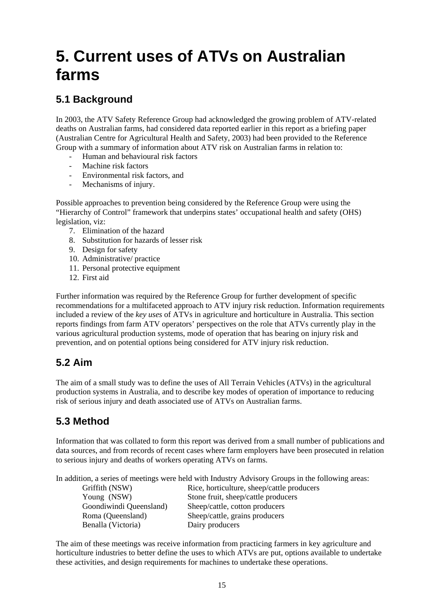# <span id="page-20-0"></span>**5. Current uses of ATVs on Australian farms**

# <span id="page-20-1"></span>**5.1 Background**

In 2003, the ATV Safety Reference Group had acknowledged the growing problem of ATV-related deaths on Australian farms, had considered data reported earlier in this report as a briefing paper (Australian Centre for Agricultural Health and Safety, 2003) had been provided to the Reference Group with a summary of information about ATV risk on Australian farms in relation to:

- Human and behavioural risk factors
- Machine risk factors
- Environmental risk factors, and
- Mechanisms of injury.

Possible approaches to prevention being considered by the Reference Group were using the "Hierarchy of Control" framework that underpins states' occupational health and safety (OHS) legislation, viz:

- 7. Elimination of the hazard
- 8. Substitution for hazards of lesser risk
- 9. Design for safety
- 10. Administrative/ practice
- 11. Personal protective equipment
- 12. First aid

Further information was required by the Reference Group for further development of specific recommendations for a multifaceted approach to ATV injury risk reduction. Information requirements included a review of the *key uses* of ATVs in agriculture and horticulture in Australia. This section reports findings from farm ATV operators' perspectives on the role that ATVs currently play in the various agricultural production systems, mode of operation that has bearing on injury risk and prevention, and on potential options being considered for ATV injury risk reduction.

# <span id="page-20-2"></span>**5.2 Aim**

The aim of a small study was to define the uses of All Terrain Vehicles (ATVs) in the agricultural production systems in Australia, and to describe key modes of operation of importance to reducing risk of serious injury and death associated use of ATVs on Australian farms.

# <span id="page-20-3"></span>**5.3 Method**

Information that was collated to form this report was derived from a small number of publications and data sources, and from records of recent cases where farm employers have been prosecuted in relation to serious injury and deaths of workers operating ATVs on farms.

In addition, a series of meetings were held with Industry Advisory Groups in the following areas:

| Rice, horticulture, sheep/cattle producers |
|--------------------------------------------|
| Stone fruit, sheep/cattle producers        |
| Sheep/cattle, cotton producers             |
| Sheep/cattle, grains producers             |
| Dairy producers                            |
|                                            |

The aim of these meetings was receive information from practicing farmers in key agriculture and horticulture industries to better define the uses to which ATVs are put, options available to undertake these activities, and design requirements for machines to undertake these operations.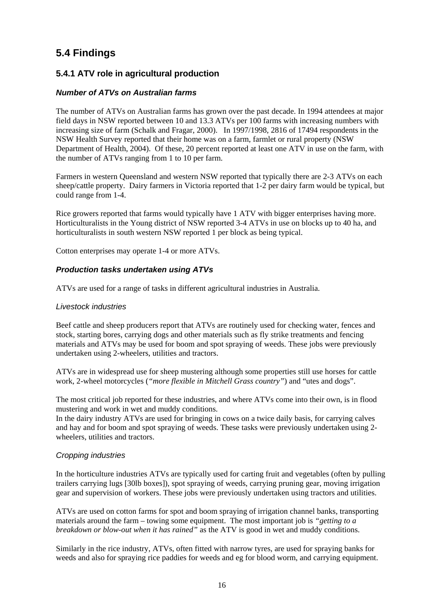# <span id="page-21-0"></span>**5.4 Findings**

# **5.4.1 ATV role in agricultural production**

## *Number of ATVs on Australian farms*

The number of ATVs on Australian farms has grown over the past decade. In 1994 attendees at major field days in NSW reported between 10 and 13.3 ATVs per 100 farms with increasing numbers with increasing size of farm (Schalk and Fragar, 2000). In 1997/1998, 2816 of 17494 respondents in the NSW Health Survey reported that their home was on a farm, farmlet or rural property (NSW Department of Health, 2004). Of these, 20 percent reported at least one ATV in use on the farm, with the number of ATVs ranging from 1 to 10 per farm.

Farmers in western Queensland and western NSW reported that typically there are 2-3 ATVs on each sheep/cattle property. Dairy farmers in Victoria reported that 1-2 per dairy farm would be typical, but could range from 1-4.

Rice growers reported that farms would typically have 1 ATV with bigger enterprises having more. Horticulturalists in the Young district of NSW reported 3-4 ATVs in use on blocks up to 40 ha, and horticulturalists in south western NSW reported 1 per block as being typical.

Cotton enterprises may operate 1-4 or more ATVs.

## *Production tasks undertaken using ATVs*

ATVs are used for a range of tasks in different agricultural industries in Australia.

## *Livestock industries*

Beef cattle and sheep producers report that ATVs are routinely used for checking water, fences and stock, starting bores, carrying dogs and other materials such as fly strike treatments and fencing materials and ATVs may be used for boom and spot spraying of weeds. These jobs were previously undertaken using 2-wheelers, utilities and tractors.

ATVs are in widespread use for sheep mustering although some properties still use horses for cattle work, 2-wheel motorcycles (*"more flexible in Mitchell Grass country"*) and "utes and dogs".

The most critical job reported for these industries, and where ATVs come into their own, is in flood mustering and work in wet and muddy conditions.

In the dairy industry ATVs are used for bringing in cows on a twice daily basis, for carrying calves and hay and for boom and spot spraying of weeds. These tasks were previously undertaken using 2 wheelers, utilities and tractors.

## *Cropping industries*

In the horticulture industries ATVs are typically used for carting fruit and vegetables (often by pulling trailers carrying lugs [30lb boxes]), spot spraying of weeds, carrying pruning gear, moving irrigation gear and supervision of workers. These jobs were previously undertaken using tractors and utilities.

ATVs are used on cotton farms for spot and boom spraying of irrigation channel banks, transporting materials around the farm – towing some equipment. The most important job is *"getting to a breakdown or blow-out when it has rained"* as the ATV is good in wet and muddy conditions.

Similarly in the rice industry, ATVs, often fitted with narrow tyres, are used for spraying banks for weeds and also for spraying rice paddies for weeds and eg for blood worm, and carrying equipment.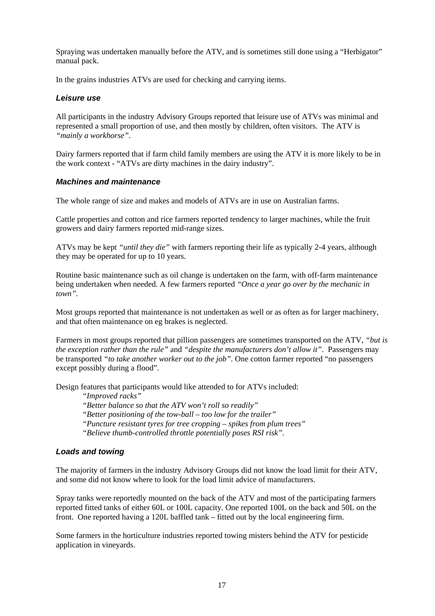Spraying was undertaken manually before the ATV, and is sometimes still done using a "Herbigator" manual pack.

In the grains industries ATVs are used for checking and carrying items.

### *Leisure use*

All participants in the industry Advisory Groups reported that leisure use of ATVs was minimal and represented a small proportion of use, and then mostly by children, often visitors. The ATV is *"mainly a workhorse"*.

Dairy farmers reported that if farm child family members are using the ATV it is more likely to be in the work context - "ATVs are dirty machines in the dairy industry".

#### *Machines and maintenance*

The whole range of size and makes and models of ATVs are in use on Australian farms.

Cattle properties and cotton and rice farmers reported tendency to larger machines, while the fruit growers and dairy farmers reported mid-range sizes.

ATVs may be kept *"until they die"* with farmers reporting their life as typically 2-4 years, although they may be operated for up to 10 years.

Routine basic maintenance such as oil change is undertaken on the farm, with off-farm maintenance being undertaken when needed. A few farmers reported *"Once a year go over by the mechanic in town".* 

Most groups reported that maintenance is not undertaken as well or as often as for larger machinery, and that often maintenance on eg brakes is neglected.

Farmers in most groups reported that pillion passengers are sometimes transported on the ATV, *"but is the exception rather than the rule"* and *"despite the manufacturers don't allow it"*. Passengers may be transported *"to take another worker out to the job".* One cotton farmer reported "no passengers except possibly during a flood".

Design features that participants would like attended to for ATVs included:

*"Improved racks" "Better balance so that the ATV won't roll so readily" "Better positioning of the tow-ball – too low for the trailer" "Puncture resistant tyres for tree cropping – spikes from plum trees"* 

*"Believe thumb-controlled throttle potentially poses RSI risk".* 

### *Loads and towing*

The majority of farmers in the industry Advisory Groups did not know the load limit for their ATV, and some did not know where to look for the load limit advice of manufacturers.

Spray tanks were reportedly mounted on the back of the ATV and most of the participating farmers reported fitted tanks of either 60L or 100L capacity. One reported 100L on the back and 50L on the front. One reported having a 120L baffled tank – fitted out by the local engineering firm.

Some farmers in the horticulture industries reported towing misters behind the ATV for pesticide application in vineyards.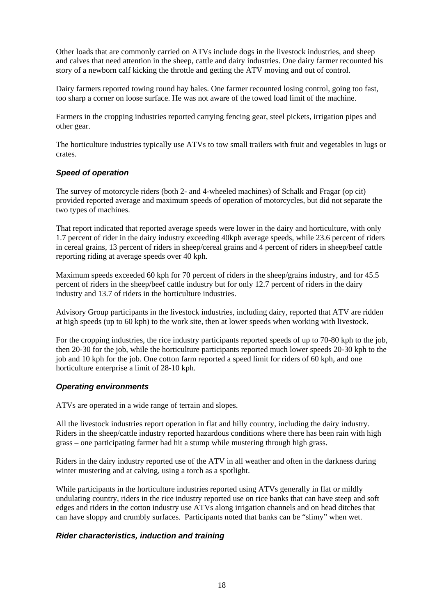Other loads that are commonly carried on ATVs include dogs in the livestock industries, and sheep and calves that need attention in the sheep, cattle and dairy industries. One dairy farmer recounted his story of a newborn calf kicking the throttle and getting the ATV moving and out of control.

Dairy farmers reported towing round hay bales. One farmer recounted losing control, going too fast, too sharp a corner on loose surface. He was not aware of the towed load limit of the machine.

Farmers in the cropping industries reported carrying fencing gear, steel pickets, irrigation pipes and other gear.

The horticulture industries typically use ATVs to tow small trailers with fruit and vegetables in lugs or crates.

### *Speed of operation*

The survey of motorcycle riders (both 2- and 4-wheeled machines) of Schalk and Fragar (op cit) provided reported average and maximum speeds of operation of motorcycles, but did not separate the two types of machines.

That report indicated that reported average speeds were lower in the dairy and horticulture, with only 1.7 percent of rider in the dairy industry exceeding 40kph average speeds, while 23.6 percent of riders in cereal grains, 13 percent of riders in sheep/cereal grains and 4 percent of riders in sheep/beef cattle reporting riding at average speeds over 40 kph.

Maximum speeds exceeded 60 kph for 70 percent of riders in the sheep/grains industry, and for 45.5 percent of riders in the sheep/beef cattle industry but for only 12.7 percent of riders in the dairy industry and 13.7 of riders in the horticulture industries.

Advisory Group participants in the livestock industries, including dairy, reported that ATV are ridden at high speeds (up to 60 kph) to the work site, then at lower speeds when working with livestock.

For the cropping industries, the rice industry participants reported speeds of up to 70-80 kph to the job, then 20-30 for the job, while the horticulture participants reported much lower speeds 20-30 kph to the job and 10 kph for the job. One cotton farm reported a speed limit for riders of 60 kph, and one horticulture enterprise a limit of 28-10 kph.

## *Operating environments*

ATVs are operated in a wide range of terrain and slopes.

All the livestock industries report operation in flat and hilly country, including the dairy industry. Riders in the sheep/cattle industry reported hazardous conditions where there has been rain with high grass – one participating farmer had hit a stump while mustering through high grass.

Riders in the dairy industry reported use of the ATV in all weather and often in the darkness during winter mustering and at calving, using a torch as a spotlight.

While participants in the horticulture industries reported using ATVs generally in flat or mildly undulating country, riders in the rice industry reported use on rice banks that can have steep and soft edges and riders in the cotton industry use ATVs along irrigation channels and on head ditches that can have sloppy and crumbly surfaces. Participants noted that banks can be "slimy" when wet.

## *Rider characteristics, induction and training*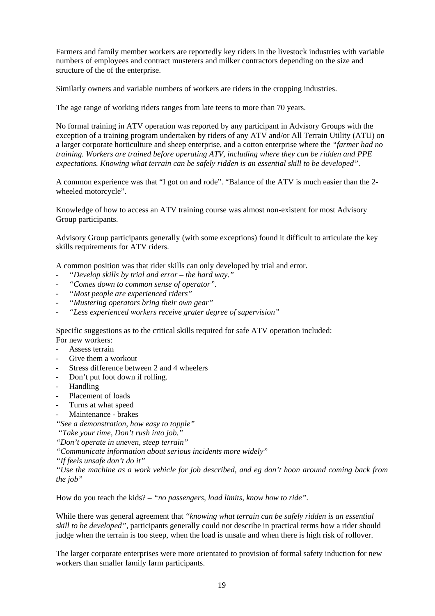Farmers and family member workers are reportedly key riders in the livestock industries with variable numbers of employees and contract musterers and milker contractors depending on the size and structure of the of the enterprise.

Similarly owners and variable numbers of workers are riders in the cropping industries.

The age range of working riders ranges from late teens to more than 70 years.

No formal training in ATV operation was reported by any participant in Advisory Groups with the exception of a training program undertaken by riders of any ATV and/or All Terrain Utility (ATU) on a larger corporate horticulture and sheep enterprise, and a cotton enterprise where the *"farmer had no training. Workers are trained before operating ATV, including where they can be ridden and PPE expectations. Knowing what terrain can be safely ridden is an essential skill to be developed"*.

A common experience was that "I got on and rode". "Balance of the ATV is much easier than the 2 wheeled motorcycle".

Knowledge of how to access an ATV training course was almost non-existent for most Advisory Group participants.

Advisory Group participants generally (with some exceptions) found it difficult to articulate the key skills requirements for ATV riders.

A common position was that rider skills can only developed by trial and error.

- *"Develop skills by trial and error the hard way."*
- *"Comes down to common sense of operator".*
- *"Most people are experienced riders"*
- *"Mustering operators bring their own gear"*
- *"Less experienced workers receive grater degree of supervision"*

Specific suggestions as to the critical skills required for safe ATV operation included: For new workers:

- Assess terrain
- Give them a workout
- Stress difference between 2 and 4 wheelers
- Don't put foot down if rolling.
- Handling
- Placement of loads
- Turns at what speed
- Maintenance brakes

*"See a demonstration, how easy to topple"* 

 *"Take your time, Don't rush into job."* 

*"Don't operate in uneven, steep terrain"* 

*"Communicate information about serious incidents more widely"* 

*"If feels unsafe don't do it"* 

*"Use the machine as a work vehicle for job described, and eg don't hoon around coming back from the job"* 

How do you teach the kids? – *"no passengers, load limits, know how to ride".*

While there was general agreement that *"knowing what terrain can be safely ridden is an essential skill to be developed"*, participants generally could not describe in practical terms how a rider should judge when the terrain is too steep, when the load is unsafe and when there is high risk of rollover.

The larger corporate enterprises were more orientated to provision of formal safety induction for new workers than smaller family farm participants.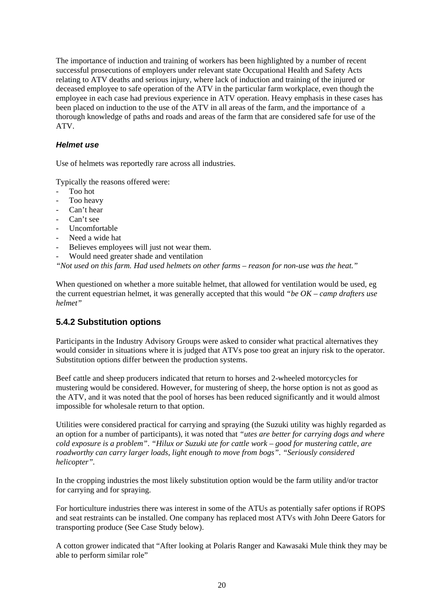The importance of induction and training of workers has been highlighted by a number of recent successful prosecutions of employers under relevant state Occupational Health and Safety Acts relating to ATV deaths and serious injury, where lack of induction and training of the injured or deceased employee to safe operation of the ATV in the particular farm workplace, even though the employee in each case had previous experience in ATV operation. Heavy emphasis in these cases has been placed on induction to the use of the ATV in all areas of the farm, and the importance of a thorough knowledge of paths and roads and areas of the farm that are considered safe for use of the ATV.

### *Helmet use*

Use of helmets was reportedly rare across all industries.

Typically the reasons offered were:

- Too hot
- Too heavy
- Can't hear
- Can't see
- Uncomfortable
- Need a wide hat
- Believes employees will just not wear them.
- Would need greater shade and ventilation

*"Not used on this farm. Had used helmets on other farms – reason for non-use was the heat."* 

When questioned on whether a more suitable helmet, that allowed for ventilation would be used, eg the current equestrian helmet, it was generally accepted that this would *"be OK – camp drafters use helmet"* 

# **5.4.2 Substitution options**

Participants in the Industry Advisory Groups were asked to consider what practical alternatives they would consider in situations where it is judged that ATVs pose too great an injury risk to the operator. Substitution options differ between the production systems.

Beef cattle and sheep producers indicated that return to horses and 2-wheeled motorcycles for mustering would be considered. However, for mustering of sheep, the horse option is not as good as the ATV, and it was noted that the pool of horses has been reduced significantly and it would almost impossible for wholesale return to that option.

Utilities were considered practical for carrying and spraying (the Suzuki utility was highly regarded as an option for a number of participants), it was noted that *"utes are better for carrying dogs and where cold exposure is a problem"*. *"Hilux or Suzuki ute for cattle work – good for mustering cattle, are roadworthy can carry larger loads, light enough to move from bogs"*. *"Seriously considered helicopter".*

In the cropping industries the most likely substitution option would be the farm utility and/or tractor for carrying and for spraying.

For horticulture industries there was interest in some of the ATUs as potentially safer options if ROPS and seat restraints can be installed. One company has replaced most ATVs with John Deere Gators for transporting produce (See Case Study below).

A cotton grower indicated that "After looking at Polaris Ranger and Kawasaki Mule think they may be able to perform similar role"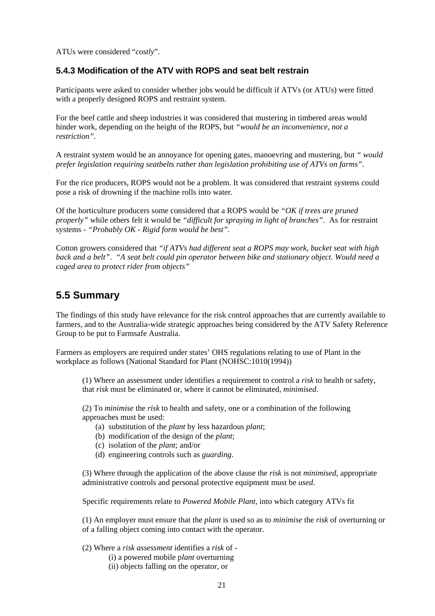ATUs were considered "*costly*".

## **5.4.3 Modification of the ATV with ROPS and seat belt restrain**

Participants were asked to consider whether jobs would be difficult if ATVs (or ATUs) were fitted with a properly designed ROPS and restraint system.

For the beef cattle and sheep industries it was considered that mustering in timbered areas would hinder work, depending on the height of the ROPS, but *"would be an inconvenience, not a restriction".* 

A restraint system would be an annoyance for opening gates, manoevring and mustering, but *" would prefer legislation requiring seatbelts rather than legislation prohibiting use of ATVs on farms".*

For the rice producers, ROPS would not be a problem. It was considered that restraint systems could pose a risk of drowning if the machine rolls into water.

Of the horticulture producers some considered that a ROPS would be *"OK if trees are pruned properly"* while others felt it would be *"difficult for spraying in light of branches".* As for restraint systems - *"Probably OK - Rigid form would be best".* 

Cotton growers considered that *"if ATVs had different seat a ROPS may work, bucket seat with high back and a belt"*. *"A seat belt could pin operator between bike and stationary object. Would need a caged area to protect rider from objects"* 

# <span id="page-26-0"></span>**5.5 Summary**

The findings of this study have relevance for the risk control approaches that are currently available to farmers, and to the Australia-wide strategic approaches being considered by the ATV Safety Reference Group to be put to Farmsafe Australia.

Farmers as employers are required under states' OHS regulations relating to use of Plant in the workplace as follows (National Standard for Plant (NOHSC:1010(1994))

(1) Where an assessment under identifies a requirement to control a *risk* to health or safety, that *risk* must be eliminated or, where it cannot be eliminated, *minimised*.

(2) To *minimise* the *risk* to health and safety, one or a combination of the following approaches must be used:

- (a) substitution of the *plant* by less hazardous *plant*;
- (b) modification of the design of the *plant*;
- (c) isolation of the *plant*; and/or
- (d) engineering controls such as *guarding*.

(3) Where through the application of the above clause the *risk* is not *minimised*, appropriate administrative controls and personal protective equipment must be *used*.

Specific requirements relate to *Powered Mobile Plant,* into which category ATVs fit

(1) An employer must ensure that the *plant* is used so as to *minimise* the *risk* of overturning or of a falling object coming into contact with the operator.

- (2) Where a *risk assessment* identifies a *risk* of
	- (i) a powered mobile p*lant* overturning
	- (ii) objects falling on the operator, or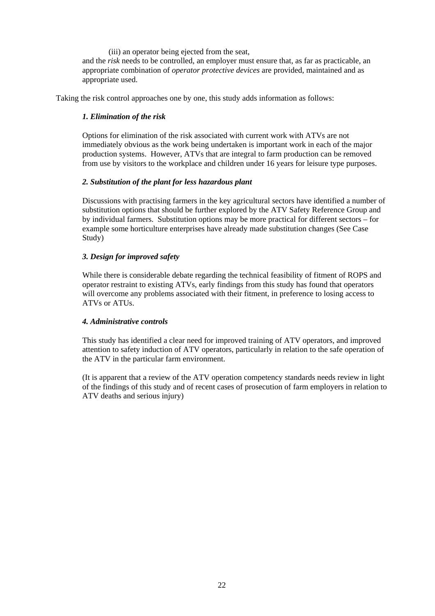(iii) an operator being ejected from the seat,

and the *risk* needs to be controlled, an employer must ensure that, as far as practicable, an appropriate combination of *operator protective devices* are provided, maintained and as appropriate used.

Taking the risk control approaches one by one, this study adds information as follows:

## *1. Elimination of the risk*

Options for elimination of the risk associated with current work with ATVs are not immediately obvious as the work being undertaken is important work in each of the major production systems. However, ATVs that are integral to farm production can be removed from use by visitors to the workplace and children under 16 years for leisure type purposes.

## *2. Substitution of the plant for less hazardous plant*

Discussions with practising farmers in the key agricultural sectors have identified a number of substitution options that should be further explored by the ATV Safety Reference Group and by individual farmers. Substitution options may be more practical for different sectors – for example some horticulture enterprises have already made substitution changes (See Case Study)

## *3. Design for improved safety*

While there is considerable debate regarding the technical feasibility of fitment of ROPS and operator restraint to existing ATVs, early findings from this study has found that operators will overcome any problems associated with their fitment, in preference to losing access to ATVs or ATUs.

## *4. Administrative controls*

This study has identified a clear need for improved training of ATV operators, and improved attention to safety induction of ATV operators, particularly in relation to the safe operation of the ATV in the particular farm environment.

(It is apparent that a review of the ATV operation competency standards needs review in light of the findings of this study and of recent cases of prosecution of farm employers in relation to ATV deaths and serious injury)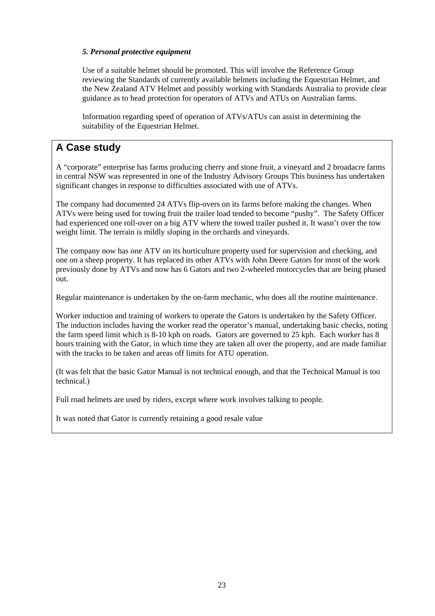### *5. Personal protective equipment*

Use of a suitable helmet should be promoted. This will involve the Reference Group reviewing the Standards of currently available helmets including the Equestrian Helmet, and the New Zealand ATV Helmet and possibly working with Standards Australia to provide clear guidance as to head protection for operators of ATVs and ATUs on Australian farms.

Information regarding speed of operation of ATVs/ATUs can assist in determining the suitability of the Equestrian Helmet.

# **A Case study**

A "corporate" enterprise has farms producing cherry and stone fruit, a vineyard and 2 broadacre farms in central NSW was represented in one of the Industry Advisory Groups This business has undertaken significant changes in response to difficulties associated with use of ATVs.

The company had documented 24 ATVs flip-overs on its farms before making the changes. When ATVs were being used for towing fruit the trailer load tended to become "pushy". The Safety Officer had experienced one roll-over on a big ATV where the towed trailer pushed it. It wasn't over the tow weight limit. The terrain is mildly sloping in the orchards and vineyards.

The company now has one ATV on its horticulture property used for supervision and checking, and one on a sheep property. It has replaced its other ATVs with John Deere Gators for most of the work previously done by ATVs and now has 6 Gators and two 2-wheeled motorcycles that are being phased out.

Regular maintenance is undertaken by the on-farm mechanic, who does all the routine maintenance.

Worker induction and training of workers to operate the Gators is undertaken by the Safety Officer. The induction includes having the worker read the operator's manual, undertaking basic checks, noting the farm speed limit which is 8-10 kph on roads. Gators are governed to 25 kph. Each worker has 8 hours training with the Gator, in which time they are taken all over the property, and are made familiar with the tracks to be taken and areas off limits for ATU operation.

(It was felt that the basic Gator Manual is not technical enough, and that the Technical Manual is too technical.)

Full road helmets are used by riders, except where work involves talking to people.

It was noted that Gator is currently retaining a good resale value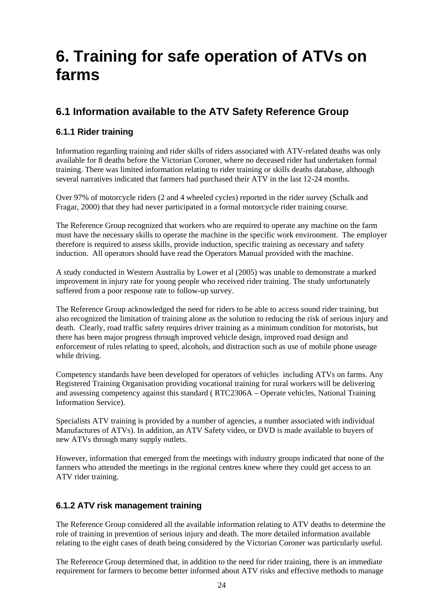# <span id="page-29-0"></span>**6. Training for safe operation of ATVs on farms**

# <span id="page-29-1"></span>**6.1 Information available to the ATV Safety Reference Group**

# **6.1.1 Rider training**

Information regarding training and rider skills of riders associated with ATV-related deaths was only available for 8 deaths before the Victorian Coroner, where no deceased rider had undertaken formal training. There was limited information relating to rider training or skills deaths database, although several narratives indicated that farmers had purchased their ATV in the last 12-24 months.

Over 97% of motorcycle riders (2 and 4 wheeled cycles) reported in the rider survey (Schalk and Fragar, 2000) that they had never participated in a formal motorcycle rider training course.

The Reference Group recognized that workers who are required to operate any machine on the farm must have the necessary skills to operate the machine in the specific work environment. The employer therefore is required to assess skills, provide induction, specific training as necessary and safety induction. All operators should have read the Operators Manual provided with the machine.

A study conducted in Western Australia by Lower et al (2005) was unable to demonstrate a marked improvement in injury rate for young people who received rider training. The study unfortunately suffered from a poor response rate to follow-up survey.

The Reference Group acknowledged the need for riders to be able to access sound rider training, but also recognized the limitation of training alone as the solution to reducing the risk of serious injury and death. Clearly, road traffic safety requires driver training as a minimum condition for motorists, but there has been major progress through improved vehicle design, improved road design and enforcement of rules relating to speed, alcohols, and distraction such as use of mobile phone useage while driving.

Competency standards have been developed for operators of vehicles including ATVs on farms. Any Registered Training Organisation providing vocational training for rural workers will be delivering and assessing competency against this standard ( RTC2306A – Operate vehicles, National Training Information Service).

Specialists ATV training is provided by a number of agencies, a number associated with individual Manufactures of ATVs). In addition, an ATV Safety video, or DVD is made available to buyers of new ATVs through many supply outlets.

However, information that emerged from the meetings with industry groups indicated that none of the farmers who attended the meetings in the regional centres knew where they could get access to an ATV rider training.

# **6.1.2 ATV risk management training**

The Reference Group considered all the available information relating to ATV deaths to determine the role of training in prevention of serious injury and death. The more detailed information available relating to the eight cases of death being considered by the Victorian Coroner was particularly useful.

The Reference Group determined that, in addition to the need for rider training, there is an immediate requirement for farmers to become better informed about ATV risks and effective methods to manage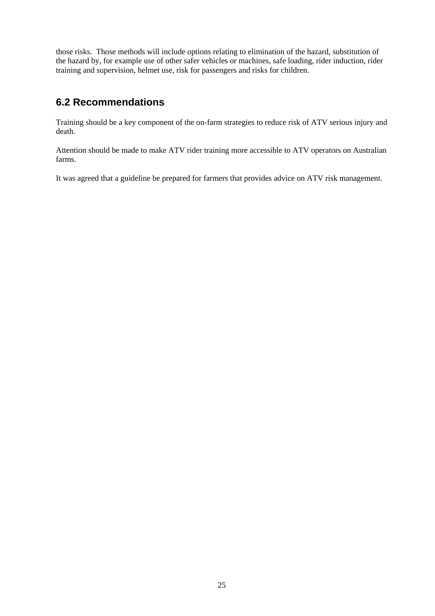those risks. Those methods will include options relating to elimination of the hazard, substitution of the hazard by, for example use of other safer vehicles or machines, safe loading, rider induction, rider training and supervision, helmet use, risk for passengers and risks for children.

# <span id="page-30-0"></span>**6.2 Recommendations**

Training should be a key component of the on-farm strategies to reduce risk of ATV serious injury and death.

Attention should be made to make ATV rider training more accessible to ATV operators on Australian farms.

It was agreed that a guideline be prepared for farmers that provides advice on ATV risk management.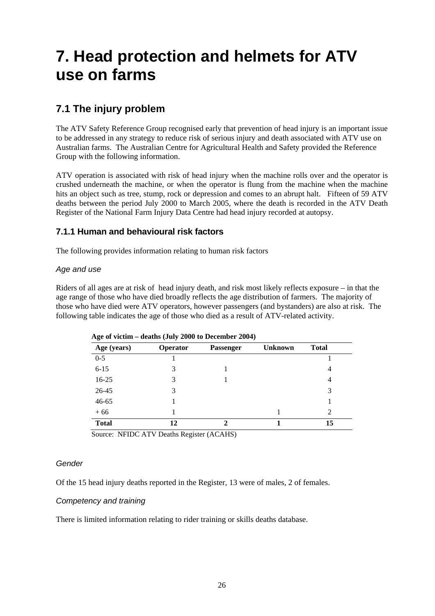# <span id="page-31-0"></span>**7. Head protection and helmets for ATV use on farms**

# <span id="page-31-1"></span>**7.1 The injury problem**

The ATV Safety Reference Group recognised early that prevention of head injury is an important issue to be addressed in any strategy to reduce risk of serious injury and death associated with ATV use on Australian farms. The Australian Centre for Agricultural Health and Safety provided the Reference Group with the following information.

ATV operation is associated with risk of head injury when the machine rolls over and the operator is crushed underneath the machine, or when the operator is flung from the machine when the machine hits an object such as tree, stump, rock or depression and comes to an abrupt halt. Fifteen of 59 ATV deaths between the period July 2000 to March 2005, where the death is recorded in the ATV Death Register of the National Farm Injury Data Centre had head injury recorded at autopsy.

# **7.1.1 Human and behavioural risk factors**

The following provides information relating to human risk factors

## *Age and use*

Riders of all ages are at risk of head injury death, and risk most likely reflects exposure – in that the age range of those who have died broadly reflects the age distribution of farmers. The majority of those who have died were ATV operators, however passengers (and bystanders) are also at risk. The following table indicates the age of those who died as a result of ATV-related activity.

| Age of victim – deatifs (July 2000 to December 2004) |                 |                  |                |                |  |
|------------------------------------------------------|-----------------|------------------|----------------|----------------|--|
| Age (years)                                          | <b>Operator</b> | <b>Passenger</b> | <b>Unknown</b> | <b>Total</b>   |  |
| $0 - 5$                                              |                 |                  |                |                |  |
| $6 - 15$                                             | 3               |                  |                | 4              |  |
| $16-25$                                              | 3               |                  |                | 4              |  |
| 26-45                                                | 3               |                  |                | 3              |  |
| $46 - 65$                                            |                 |                  |                |                |  |
| $+66$                                                |                 |                  |                | $\mathfrak{D}$ |  |
| <b>Total</b>                                         | 12              |                  |                | 15             |  |

 **Age of victim – deaths (July 2000 to December 2004)** 

Source: NFIDC ATV Deaths Register (ACAHS)

### *Gender*

Of the 15 head injury deaths reported in the Register, 13 were of males, 2 of females.

## *Competency and training*

There is limited information relating to rider training or skills deaths database.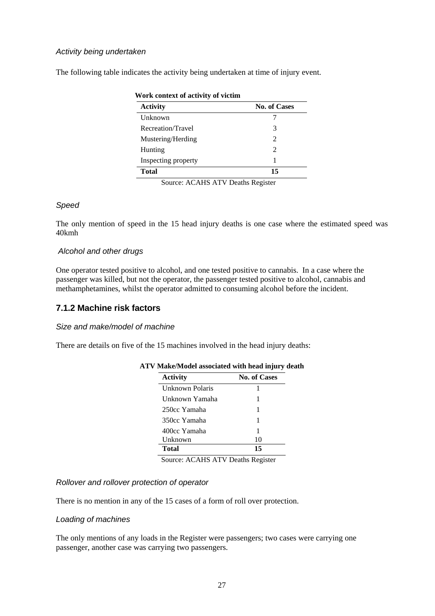### *Activity being undertaken*

The following table indicates the activity being undertaken at time of injury event.

| <b>Activity</b>     | <b>No. of Cases</b>         |  |
|---------------------|-----------------------------|--|
| Unknown             |                             |  |
| Recreation/Travel   | 3                           |  |
| Mustering/Herding   | $\mathcal{D}_{\mathcal{L}}$ |  |
| Hunting             | $\mathcal{D}_{\mathcal{L}}$ |  |
| Inspecting property |                             |  |
| <b>Total</b>        | 15                          |  |

#### Source: ACAHS ATV Deaths Register

### *Speed*

The only mention of speed in the 15 head injury deaths is one case where the estimated speed was 40kmh

### *Alcohol and other drugs*

One operator tested positive to alcohol, and one tested positive to cannabis. In a case where the passenger was killed, but not the operator, the passenger tested positive to alcohol, cannabis and methamphetamines, whilst the operator admitted to consuming alcohol before the incident.

## **7.1.2 Machine risk factors**

### *Size and make/model of machine*

There are details on five of the 15 machines involved in the head injury deaths:

| <b>Activity</b> | <b>No. of Cases</b> |
|-----------------|---------------------|
| Unknown Polaris |                     |
| Unknown Yamaha  |                     |
| 250cc Yamaha    | 1                   |
| 350cc Yamaha    | 1                   |
| 400cc Yamaha    | 1                   |
| Unknown         | 10                  |
| Total           | 15                  |

### **ATV Make/Model associated with head injury death**

Source: ACAHS ATV Deaths Register

### *Rollover and rollover protection of operator*

There is no mention in any of the 15 cases of a form of roll over protection.

### *Loading of machines*

The only mentions of any loads in the Register were passengers; two cases were carrying one passenger, another case was carrying two passengers.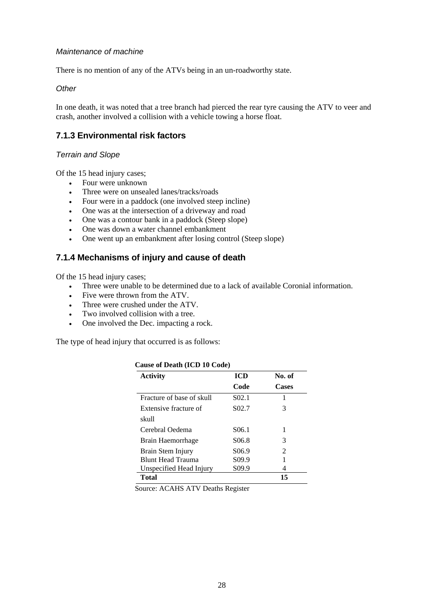### *Maintenance of machine*

There is no mention of any of the ATVs being in an un-roadworthy state.

*Other* 

In one death, it was noted that a tree branch had pierced the rear tyre causing the ATV to veer and crash, another involved a collision with a vehicle towing a horse float.

# **7.1.3 Environmental risk factors**

### *Terrain and Slope*

Of the 15 head injury cases;

- Four were unknown
- Three were on unsealed lanes/tracks/roads
- Four were in a paddock (one involved steep incline)
- One was at the intersection of a driveway and road
- One was a contour bank in a paddock (Steep slope)
- One was down a water channel embankment
- One went up an embankment after losing control (Steep slope)

# **7.1.4 Mechanisms of injury and cause of death**

Of the 15 head injury cases;

- Three were unable to be determined due to a lack of available Coronial information.
- Five were thrown from the ATV.
- Three were crushed under the ATV.
- Two involved collision with a tree.
- One involved the Dec. impacting a rock.

The type of head injury that occurred is as follows:

| <b>Activity</b>           | <b>ICD</b>         | No. of         |
|---------------------------|--------------------|----------------|
|                           | Code               | <b>Cases</b>   |
| Fracture of base of skull | S <sub>0</sub> 2.1 | 1              |
| Extensive fracture of     | S <sub>0</sub> 2.7 | 3              |
| skull                     |                    |                |
| Cerebral Oedema           | S <sub>06.1</sub>  | 1              |
| Brain Haemorrhage         | S <sub>06.8</sub>  | 3              |
| Brain Stem Injury         | S <sub>06.9</sub>  | $\mathfrak{D}$ |
| <b>Blunt Head Trauma</b>  | S <sub>09.9</sub>  |                |
| Unspecified Head Injury   | S <sub>09.9</sub>  | 4              |
| <b>Total</b>              |                    | 15             |

#### **Cause of Death (ICD 10 Code)**

Source: ACAHS ATV Deaths Register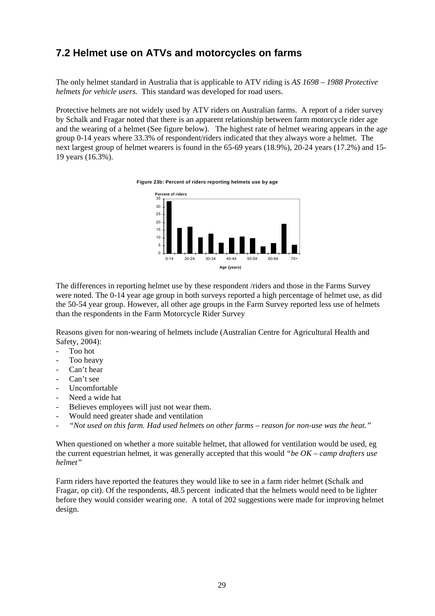# <span id="page-34-0"></span>**7.2 Helmet use on ATVs and motorcycles on farms**

The only helmet standard in Australia that is applicable to ATV riding is *AS 1698 – 1988 Protective helmets for vehicle users.* This standard was developed for road users.

Protective helmets are not widely used by ATV riders on Australian farms. A report of a rider survey by Schalk and Fragar noted that there is an apparent relationship between farm motorcycle rider age and the wearing of a helmet (See figure below). The highest rate of helmet wearing appears in the age group 0-14 years where 33.3% of respondent/riders indicated that they always wore a helmet. The next largest group of helmet wearers is found in the 65-69 years (18.9%), 20-24 years (17.2%) and 15- 19 years (16.3%).

**Figure 23b: Percent of riders reporting helmets use by age**



The differences in reporting helmet use by these respondent /riders and those in the Farms Survey were noted. The 0-14 year age group in both surveys reported a high percentage of helmet use, as did the 50-54 year group. However, all other age groups in the Farm Survey reported less use of helmets than the respondents in the Farm Motorcycle Rider Survey

Reasons given for non-wearing of helmets include (Australian Centre for Agricultural Health and Safety, 2004):

- Too hot
- Too heavy
- Can't hear
- Can't see
- Uncomfortable
- Need a wide hat
- Believes employees will just not wear them.
- Would need greater shade and ventilation
- *"Not used on this farm. Had used helmets on other farms reason for non-use was the heat."*

When questioned on whether a more suitable helmet, that allowed for ventilation would be used, eg the current equestrian helmet, it was generally accepted that this would *"be OK – camp drafters use helmet"* 

Farm riders have reported the features they would like to see in a farm rider helmet (Schalk and Fragar, op cit). Of the respondents, 48.5 percent indicated that the helmets would need to be lighter before they would consider wearing one. A total of 202 suggestions were made for improving helmet design.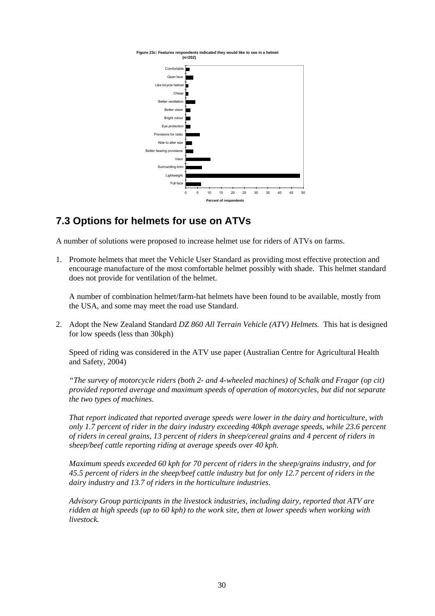Figure 23c: Features respondents indicated they would like to see in a helr  **(n=202)**



# <span id="page-35-0"></span>**7.3 Options for helmets for use on ATVs**

A number of solutions were proposed to increase helmet use for riders of ATVs on farms.

1. Promote helmets that meet the Vehicle User Standard as providing most effective protection and encourage manufacture of the most comfortable helmet possibly with shade. This helmet standard does not provide for ventilation of the helmet.

A number of combination helmet/farm-hat helmets have been found to be available, mostly from the USA, and some may meet the road use Standard.

2. Adopt the New Zealand Standard *DZ 860 All Terrain Vehicle (ATV) Helmets.* This hat is designed for low speeds (less than 30kph)

Speed of riding was considered in the ATV use paper (Australian Centre for Agricultural Health and Safety, 2004)

*"The survey of motorcycle riders (both 2- and 4-wheeled machines) of Schalk and Fragar (op cit) provided reported average and maximum speeds of operation of motorcycles, but did not separate the two types of machines.* 

*That report indicated that reported average speeds were lower in the dairy and horticulture, with only 1.7 percent of rider in the dairy industry exceeding 40kph average speeds, while 23.6 percent of riders in cereal grains, 13 percent of riders in sheep/cereal grains and 4 percent of riders in sheep/beef cattle reporting riding at average speeds over 40 kph.* 

*Maximum speeds exceeded 60 kph for 70 percent of riders in the sheep/grains industry, and for 45.5 percent of riders in the sheep/beef cattle industry but for only 12.7 percent of riders in the dairy industry and 13.7 of riders in the horticulture industries.* 

*Advisory Group participants in the livestock industries, including dairy, reported that ATV are ridden at high speeds (up to 60 kph) to the work site, then at lower speeds when working with livestock.*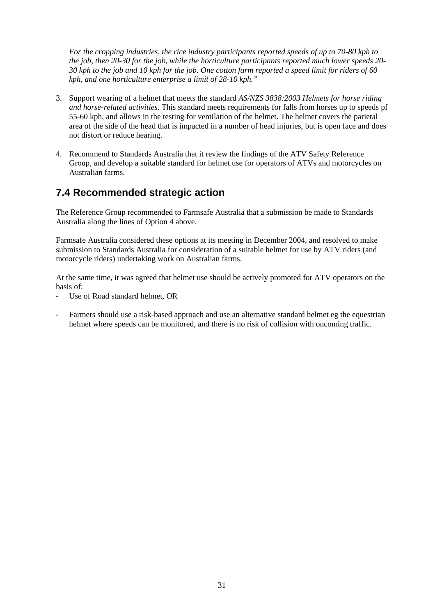*For the cropping industries, the rice industry participants reported speeds of up to 70-80 kph to the job, then 20-30 for the job, while the horticulture participants reported much lower speeds 20- 30 kph to the job and 10 kph for the job. One cotton farm reported a speed limit for riders of 60 kph, and one horticulture enterprise a limit of 28-10 kph."* 

- 3. Support wearing of a helmet that meets the standard *AS/NZS 3838:2003 Helmets for horse riding and horse-related activities*. This standard meets requirements for falls from horses up to speeds pf 55-60 kph, and allows in the testing for ventilation of the helmet. The helmet covers the parietal area of the side of the head that is impacted in a number of head injuries, but is open face and does not distort or reduce hearing.
- 4. Recommend to Standards Australia that it review the findings of the ATV Safety Reference Group, and develop a suitable standard for helmet use for operators of ATVs and motorcycles on Australian farms.

# <span id="page-36-0"></span>**7.4 Recommended strategic action**

The Reference Group recommended to Farmsafe Australia that a submission be made to Standards Australia along the lines of Option 4 above.

Farmsafe Australia considered these options at its meeting in December 2004, and resolved to make submission to Standards Australia for consideration of a suitable helmet for use by ATV riders (and motorcycle riders) undertaking work on Australian farms.

At the same time, it was agreed that helmet use should be actively promoted for ATV operators on the basis of:

- Use of Road standard helmet, OR
- Farmers should use a risk-based approach and use an alternative standard helmet eg the equestrian helmet where speeds can be monitored, and there is no risk of collision with oncoming traffic.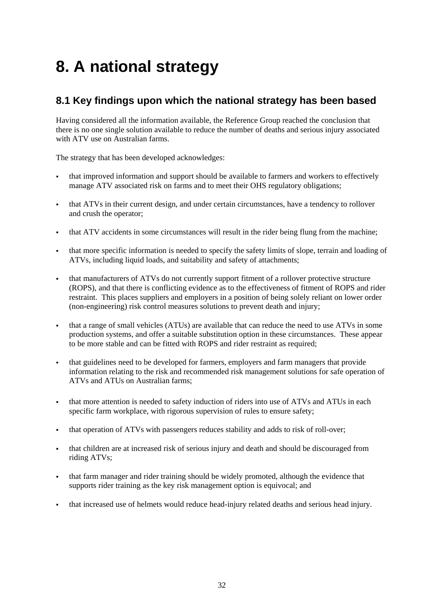# <span id="page-37-0"></span>**8. A national strategy**

# <span id="page-37-1"></span>**8.1 Key findings upon which the national strategy has been based**

Having considered all the information available, the Reference Group reached the conclusion that there is no one single solution available to reduce the number of deaths and serious injury associated with ATV use on Australian farms.

The strategy that has been developed acknowledges:

- that improved information and support should be available to farmers and workers to effectively manage ATV associated risk on farms and to meet their OHS regulatory obligations;
- that ATVs in their current design, and under certain circumstances, have a tendency to rollover and crush the operator;
- that ATV accidents in some circumstances will result in the rider being flung from the machine;
- that more specific information is needed to specify the safety limits of slope, terrain and loading of ATVs, including liquid loads, and suitability and safety of attachments;
- that manufacturers of ATVs do not currently support fitment of a rollover protective structure (ROPS), and that there is conflicting evidence as to the effectiveness of fitment of ROPS and rider restraint. This places suppliers and employers in a position of being solely reliant on lower order (non-engineering) risk control measures solutions to prevent death and injury;
- that a range of small vehicles (ATUs) are available that can reduce the need to use ATVs in some production systems, and offer a suitable substitution option in these circumstances. These appear to be more stable and can be fitted with ROPS and rider restraint as required;
- that guidelines need to be developed for farmers, employers and farm managers that provide information relating to the risk and recommended risk management solutions for safe operation of ATVs and ATUs on Australian farms;
- that more attention is needed to safety induction of riders into use of ATVs and ATUs in each specific farm workplace, with rigorous supervision of rules to ensure safety;
- that operation of ATVs with passengers reduces stability and adds to risk of roll-over;
- that children are at increased risk of serious injury and death and should be discouraged from riding ATVs;
- that farm manager and rider training should be widely promoted, although the evidence that supports rider training as the key risk management option is equivocal; and
- that increased use of helmets would reduce head-injury related deaths and serious head injury.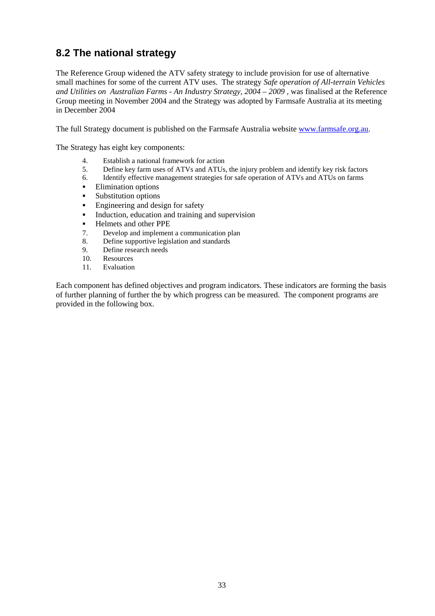# <span id="page-38-0"></span>**8.2 The national strategy**

The Reference Group widened the ATV safety strategy to include provision for use of alternative small machines for some of the current ATV uses. The strategy *Safe operation of All-terrain Vehicles and Utilities on Australian Farms - An Industry Strategy, 2004 – 2009 ,* was finalised at the Reference Group meeting in November 2004 and the Strategy was adopted by Farmsafe Australia at its meeting in December 2004

The full Strategy document is published on the Farmsafe Australia website [www.farmsafe.org.au.](http://www.farmsafe.org.au/)

The Strategy has eight key components:

- 4. Establish a national framework for action
- 5. Define key farm uses of ATVs and ATUs, the injury problem and identify key risk factors
- 6. Identify effective management strategies for safe operation of ATVs and ATUs on farms
- Elimination options
- **Substitution options**
- **Engineering and design for safety**
- Induction, education and training and supervision
- Helmets and other PPE
- 7. Develop and implement a communication plan
- 8. Define supportive legislation and standards
- 9. Define research needs
- 10. Resources
- 11. Evaluation

Each component has defined objectives and program indicators. These indicators are forming the basis of further planning of further the by which progress can be measured. The component programs are provided in the following box.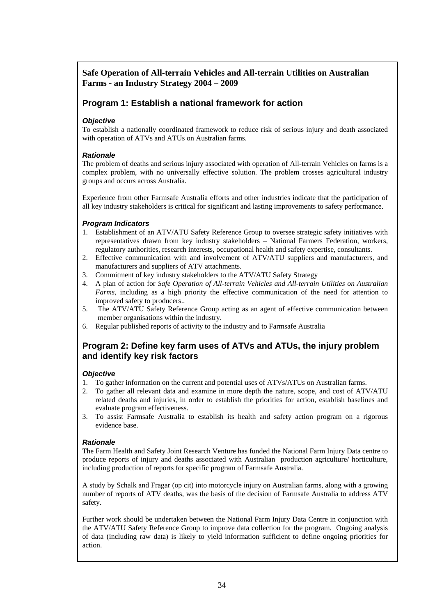# **Safe Operation of All-terrain Vehicles and All-terrain Utilities on Australian Farms - an Industry Strategy 2004 – 2009**

## **Program 1: Establish a national framework for action**

### *Objective*

To establish a nationally coordinated framework to reduce risk of serious injury and death associated with operation of ATVs and ATUs on Australian farms.

### *Rationale*

The problem of deaths and serious injury associated with operation of All-terrain Vehicles on farms is a complex problem, with no universally effective solution. The problem crosses agricultural industry groups and occurs across Australia.

Experience from other Farmsafe Australia efforts and other industries indicate that the participation of all key industry stakeholders is critical for significant and lasting improvements to safety performance.

### *Program Indicators*

- 1. Establishment of an ATV/ATU Safety Reference Group to oversee strategic safety initiatives with representatives drawn from key industry stakeholders – National Farmers Federation, workers, regulatory authorities, research interests, occupational health and safety expertise, consultants.
- 2. Effective communication with and involvement of ATV/ATU suppliers and manufacturers, and manufacturers and suppliers of ATV attachments.
- 3. Commitment of key industry stakeholders to the ATV/ATU Safety Strategy
- 4. A plan of action for *Safe Operation of All-terrain Vehicles and All-terrain Utilities on Australian Farms*, including as a high priority the effective communication of the need for attention to improved safety to producers..
- 5. The ATV/ATU Safety Reference Group acting as an agent of effective communication between member organisations within the industry.
- 6. Regular published reports of activity to the industry and to Farmsafe Australia

## **Program 2: Define key farm uses of ATVs and ATUs, the injury problem and identify key risk factors**

#### *Objective*

- 1. To gather information on the current and potential uses of ATVs/ATUs on Australian farms.
- 2. To gather all relevant data and examine in more depth the nature, scope, and cost of ATV/ATU related deaths and injuries, in order to establish the priorities for action, establish baselines and evaluate program effectiveness.
- 3. To assist Farmsafe Australia to establish its health and safety action program on a rigorous evidence base.

### *Rationale*

The Farm Health and Safety Joint Research Venture has funded the National Farm Injury Data centre to produce reports of injury and deaths associated with Australian production agriculture/ horticulture, including production of reports for specific program of Farmsafe Australia.

A study by Schalk and Fragar (op cit) into motorcycle injury on Australian farms, along with a growing number of reports of ATV deaths, was the basis of the decision of Farmsafe Australia to address ATV safety.

Further work should be undertaken between the National Farm Injury Data Centre in conjunction with the ATV/ATU Safety Reference Group to improve data collection for the program. Ongoing analysis of data (including raw data) is likely to yield information sufficient to define ongoing priorities for action.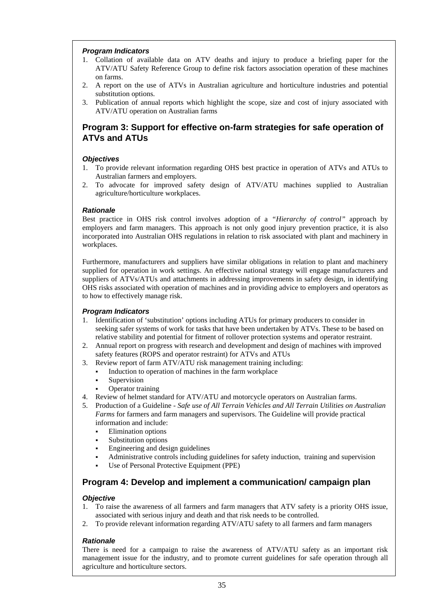### *Program Indicators*

- 1. Collation of available data on ATV deaths and injury to produce a briefing paper for the ATV/ATU Safety Reference Group to define risk factors association operation of these machines on farms.
- 2. A report on the use of ATVs in Australian agriculture and horticulture industries and potential substitution options.
- 3. Publication of annual reports which highlight the scope, size and cost of injury associated with ATV/ATU operation on Australian farms

# **Program 3: Support for effective on-farm strategies for safe operation of ATVs and ATUs**

### *Objectives*

- 1. To provide relevant information regarding OHS best practice in operation of ATVs and ATUs to Australian farmers and employers.
- 2. To advocate for improved safety design of ATV/ATU machines supplied to Australian agriculture/horticulture workplaces.

### *Rationale*

Best practice in OHS risk control involves adoption of a *"Hierarchy of control"* approach by employers and farm managers. This approach is not only good injury prevention practice, it is also incorporated into Australian OHS regulations in relation to risk associated with plant and machinery in workplaces.

Furthermore, manufacturers and suppliers have similar obligations in relation to plant and machinery supplied for operation in work settings. An effective national strategy will engage manufacturers and suppliers of ATVs/ATUs and attachments in addressing improvements in safety design, in identifying OHS risks associated with operation of machines and in providing advice to employers and operators as to how to effectively manage risk.

### *Program Indicators*

- 1. Identification of 'substitution' options including ATUs for primary producers to consider in seeking safer systems of work for tasks that have been undertaken by ATVs. These to be based on relative stability and potential for fitment of rollover protection systems and operator restraint.
- 2. Annual report on progress with research and development and design of machines with improved safety features (ROPS and operator restraint) for ATVs and ATUs
- 3. Review report of farm ATV/ATU risk management training including:
	- Induction to operation of machines in the farm workplace
	- Supervision
	- Operator training
- 4. Review of helmet standard for ATV/ATU and motorcycle operators on Australian farms.
- 5. Production of a Guideline *Safe use of All Terrain Vehicles and All Terrain Utilities on Australian Farms* for farmers and farm managers and supervisors. The Guideline will provide practical information and include:
	- **Elimination options**
	- Substitution options
	- Engineering and design guidelines
	- Administrative controls including guidelines for safety induction, training and supervision
	- Use of Personal Protective Equipment (PPE)

# **Program 4: Develop and implement a communication/ campaign plan**

#### *Objective*

- 1. To raise the awareness of all farmers and farm managers that ATV safety is a priority OHS issue, associated with serious injury and death and that risk needs to be controlled.
- 2. To provide relevant information regarding ATV/ATU safety to all farmers and farm managers

#### *Rationale*

There is need for a campaign to raise the awareness of ATV/ATU safety as an important risk management issue for the industry, and to promote current guidelines for safe operation through all agriculture and horticulture sectors.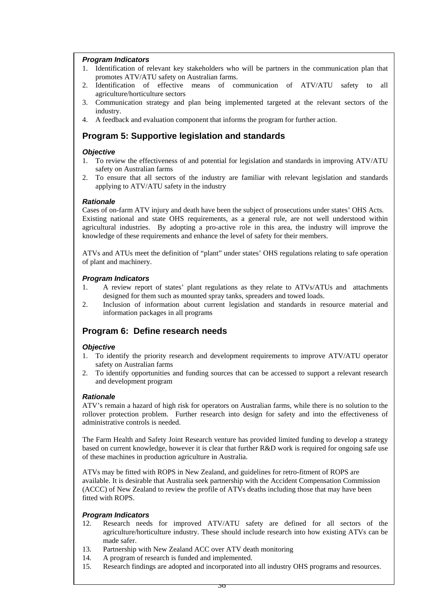### *Program Indicators*

- 1. Identification of relevant key stakeholders who will be partners in the communication plan that promotes ATV/ATU safety on Australian farms.
- 2. Identification of effective means of communication of ATV/ATU safety to all agriculture/horticulture sectors
- 3. Communication strategy and plan being implemented targeted at the relevant sectors of the industry.
- 4. A feedback and evaluation component that informs the program for further action.

# **Program 5: Supportive legislation and standards**

#### *Objective*

- 1. To review the effectiveness of and potential for legislation and standards in improving ATV/ATU safety on Australian farms
- 2. To ensure that all sectors of the industry are familiar with relevant legislation and standards applying to ATV/ATU safety in the industry

### *Rationale*

Cases of on-farm ATV injury and death have been the subject of prosecutions under states' OHS Acts. Existing national and state OHS requirements, as a general rule, are not well understood within agricultural industries. By adopting a pro-active role in this area, the industry will improve the knowledge of these requirements and enhance the level of safety for their members.

ATVs and ATUs meet the definition of "plant" under states' OHS regulations relating to safe operation of plant and machinery.

### *Program Indicators*

- 1. A review report of states' plant regulations as they relate to ATVs/ATUs and attachments designed for them such as mounted spray tanks, spreaders and towed loads.
- 2. Inclusion of information about current legislation and standards in resource material and information packages in all programs

# **Program 6: Define research needs**

#### *Objective*

- 1. To identify the priority research and development requirements to improve ATV/ATU operator safety on Australian farms
- 2. To identify opportunities and funding sources that can be accessed to support a relevant research and development program

#### *Rationale*

ATV's remain a hazard of high risk for operators on Australian farms, while there is no solution to the rollover protection problem. Further research into design for safety and into the effectiveness of administrative controls is needed.

The Farm Health and Safety Joint Research venture has provided limited funding to develop a strategy based on current knowledge, however it is clear that further R&D work is required for ongoing safe use of these machines in production agriculture in Australia.

ATVs may be fitted with ROPS in New Zealand, and guidelines for retro-fitment of ROPS are available. It is desirable that Australia seek partnership with the Accident Compensation Commission (ACCC) of New Zealand to review the profile of ATVs deaths including those that may have been fitted with ROPS.

#### *Program Indicators*

- 12. Research needs for improved ATV/ATU safety are defined for all sectors of the agriculture/horticulture industry. These should include research into how existing ATVs can be made safer.
- 13. Partnership with New Zealand ACC over ATV death monitoring
- 14. A program of research is funded and implemented.
- 15. Research findings are adopted and incorporated into all industry OHS programs and resources.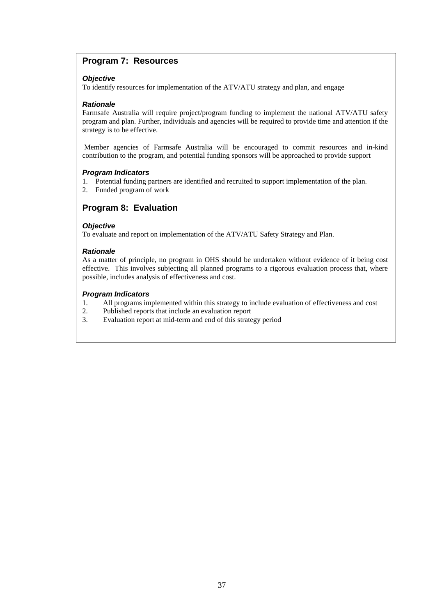# **Program 7: Resources**

### *Objective*

To identify resources for implementation of the ATV/ATU strategy and plan, and engage

### *Rationale*

Farmsafe Australia will require project/program funding to implement the national ATV/ATU safety program and plan. Further, individuals and agencies will be required to provide time and attention if the strategy is to be effective.

 Member agencies of Farmsafe Australia will be encouraged to commit resources and in-kind contribution to the program, and potential funding sponsors will be approached to provide support

### *Program Indicators*

- 1. Potential funding partners are identified and recruited to support implementation of the plan.
- 2. Funded program of work

# **Program 8: Evaluation**

### *Objective*

To evaluate and report on implementation of the ATV/ATU Safety Strategy and Plan.

### *Rationale*

As a matter of principle, no program in OHS should be undertaken without evidence of it being cost effective. This involves subjecting all planned programs to a rigorous evaluation process that, where possible, includes analysis of effectiveness and cost.

### *Program Indicators*

- 1. All programs implemented within this strategy to include evaluation of effectiveness and cost
- 2. Published reports that include an evaluation report
- 3. Evaluation report at mid-term and end of this strategy period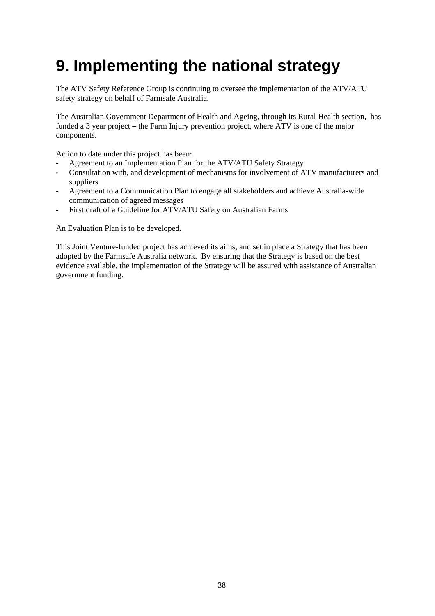# <span id="page-43-0"></span>**9. Implementing the national strategy**

The ATV Safety Reference Group is continuing to oversee the implementation of the ATV/ATU safety strategy on behalf of Farmsafe Australia.

The Australian Government Department of Health and Ageing, through its Rural Health section, has funded a 3 year project – the Farm Injury prevention project, where ATV is one of the major components.

Action to date under this project has been:

- Agreement to an Implementation Plan for the ATV/ATU Safety Strategy
- Consultation with, and development of mechanisms for involvement of ATV manufacturers and suppliers
- Agreement to a Communication Plan to engage all stakeholders and achieve Australia-wide communication of agreed messages
- First draft of a Guideline for ATV/ATU Safety on Australian Farms

An Evaluation Plan is to be developed.

This Joint Venture-funded project has achieved its aims, and set in place a Strategy that has been adopted by the Farmsafe Australia network. By ensuring that the Strategy is based on the best evidence available, the implementation of the Strategy will be assured with assistance of Australian government funding.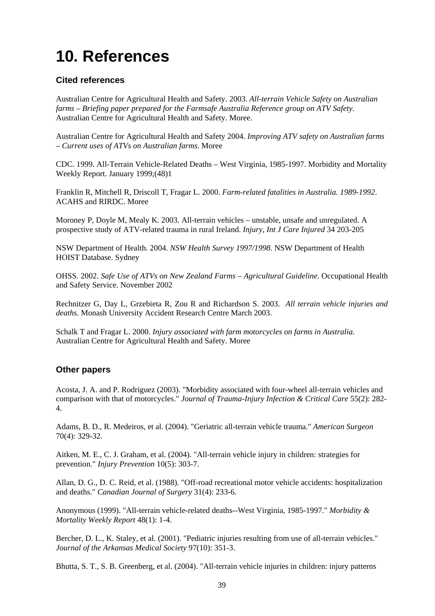# <span id="page-44-0"></span>**10. References**

# **Cited references**

Australian Centre for Agricultural Health and Safety. 2003. *All-terrain Vehicle Safety on Australian farms – Briefing paper prepared for the Farmsafe Australia Reference group on ATV Safety*. Australian Centre for Agricultural Health and Safety. Moree.

Australian Centre for Agricultural Health and Safety 2004. *Improving ATV safety on Australian farms – Current uses of ATVs on Australian farms*. Moree

CDC. 1999. All-Terrain Vehicle-Related Deaths – West Virginia, 1985-1997. Morbidity and Mortality Weekly Report. January 1999;(48)1

Franklin R, Mitchell R, Driscoll T, Fragar L. 2000. *Farm-related fatalities in Australia. 1989-1992*. ACAHS and RIRDC. Moree

Moroney P, Doyle M, Mealy K. 2003. All-terrain vehicles – unstable, unsafe and unregulated. A prospective study of ATV-related trauma in rural Ireland. *Injury, Int J Care Injured* 34 203-205

NSW Department of Health. 2004. *NSW Health Survey 1997/1998*. NSW Department of Health HOIST Database. Sydney

OHSS. 2002. *Safe Use of ATVs on New Zealand Farms – Agricultural Guideline*. Occupational Health and Safety Service. November 2002

Rechnitzer G, Day L, Grzebieta R, Zou R and Richardson S. 2003. *All terrain vehicle injuries and deaths.* Monash University Accident Research Centre March 2003.

Schalk T and Fragar L. 2000. *Injury associated with farm motorcycles on farms in Australia.* Australian Centre for Agricultural Health and Safety. Moree

# **Other papers**

Acosta, J. A. and P. Rodriguez (2003). "Morbidity associated with four-wheel all-terrain vehicles and comparison with that of motorcycles." *Journal of Trauma-Injury Infection & Critical Care* 55(2): 282- 4.

Adams, B. D., R. Medeiros, et al. (2004). "Geriatric all-terrain vehicle trauma." *American Surgeon* 70(4): 329-32.

Aitken, M. E., C. J. Graham, et al. (2004). "All-terrain vehicle injury in children: strategies for prevention." *Injury Prevention* 10(5): 303-7.

Allan, D. G., D. C. Reid, et al. (1988). "Off-road recreational motor vehicle accidents: hospitalization and deaths." *Canadian Journal of Surgery* 31(4): 233-6.

Anonymous (1999). "All-terrain vehicle-related deaths--West Virginia, 1985-1997." *Morbidity & Mortality Weekly Report* 48(1): 1-4.

Bercher, D. L., K. Staley, et al. (2001). "Pediatric injuries resulting from use of all-terrain vehicles." *Journal of the Arkansas Medical Society* 97(10): 351-3.

Bhutta, S. T., S. B. Greenberg, et al. (2004). "All-terrain vehicle injuries in children: injury patterns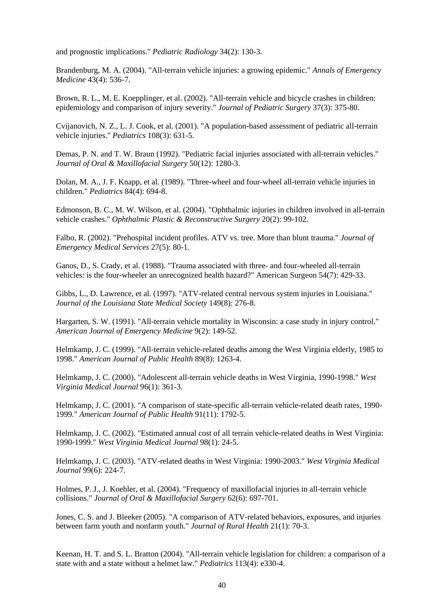and prognostic implications." *Pediatric Radiology* 34(2): 130-3.

Brandenburg, M. A. (2004). "All-terrain vehicle injuries: a growing epidemic." *Annals of Emergency Medicine* 43(4): 536-7.

Brown, R. L., M. E. Koepplinger, et al. (2002). "All-terrain vehicle and bicycle crashes in children: epidemiology and comparison of injury severity." *Journal of Pediatric Surgery* 37(3): 375-80.

Cvijanovich, N. Z., L. J. Cook, et al. (2001). "A population-based assessment of pediatric all-terrain vehicle injuries." *Pediatrics* 108(3): 631-5.

Demas, P. N. and T. W. Braun (1992). "Pediatric facial injuries associated with all-terrain vehicles." *Journal of Oral & Maxillofacial Surgery* 50(12): 1280-3.

Dolan, M. A., J. F. Knapp, et al. (1989). "Three-wheel and four-wheel all-terrain vehicle injuries in children." *Pediatrics* 84(4): 694-8.

Edmonson, B. C., M. W. Wilson, et al. (2004). "Ophthalmic injuries in children involved in all-terrain vehicle crashes." *Ophthalmic Plastic & Reconstructive Surgery* 20(2): 99-102.

Falbo, R. (2002). "Prehospital incident profiles. ATV vs. tree. More than blunt trauma." *Journal of Emergency Medical Services* 27(5): 80-1.

Ganos, D., S. Crady, et al. (1988). "Trauma associated with three- and four-wheeled all-terrain vehicles: is the four-wheeler an unrecognized health hazard?" American Surgeon 54(7): 429-33.

Gibbs, L., D. Lawrence, et al. (1997). "ATV-related central nervous system injuries in Louisiana." *Journal of the Louisiana State Medical Society* 149(8): 276-8.

Hargarten, S. W. (1991). "All-terrain vehicle mortality in Wisconsin: a case study in injury control." *American Journal of Emergency Medicine* 9(2): 149-52.

Helmkamp, J. C. (1999). "All-terrain vehicle-related deaths among the West Virginia elderly, 1985 to 1998." *American Journal of Public Health* 89(8): 1263-4.

Helmkamp, J. C. (2000). "Adolescent all-terrain vehicle deaths in West Virginia, 1990-1998." *West Virginia Medical Journal* 96(1): 361-3.

Helmkamp, J. C. (2001). "A comparison of state-specific all-terrain vehicle-related death rates, 1990- 1999." *American Journal of Public Health* 91(11): 1792-5.

Helmkamp, J. C. (2002). "Estimated annual cost of all terrain vehicle-related deaths in West Virginia: 1990-1999." *West Virginia Medical Journal* 98(1): 24-5.

Helmkamp, J. C. (2003). "ATV-related deaths in West Virginia: 1990-2003." *West Virginia Medical Journal* 99(6): 224-7.

Holmes, P. J., J. Koehler, et al. (2004). "Frequency of maxillofacial injuries in all-terrain vehicle collisions." *Journal of Oral & Maxillofacial Surgery* 62(6): 697-701.

Jones, C. S. and J. Bleeker (2005). "A comparison of ATV-related behaviors, exposures, and injuries between farm youth and nonfarm youth." *Journal of Rural Health* 21(1): 70-3.

Keenan, H. T. and S. L. Bratton (2004). "All-terrain vehicle legislation for children: a comparison of a state with and a state without a helmet law." *Pediatrics* 113(4): e330-4.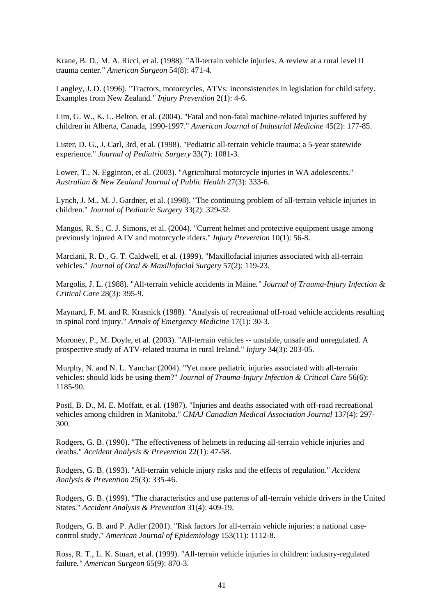Krane, B. D., M. A. Ricci, et al. (1988). "All-terrain vehicle injuries. A review at a rural level II trauma center." *American Surgeon* 54(8): 471-4.

Langley, J. D. (1996). "Tractors, motorcycles, ATVs: inconsistencies in legislation for child safety. Examples from New Zealand*." Injury Prevention* 2(1): 4-6.

Lim, G. W., K. L. Belton, et al. (2004). "Fatal and non-fatal machine-related injuries suffered by children in Alberta, Canada, 1990-1997." *American Journal of Industrial Medicine* 45(2): 177-85.

Lister, D. G., J. Carl, 3rd, et al. (1998). "Pediatric all-terrain vehicle trauma: a 5-year statewide experience." *Journal of Pediatric Surgery* 33(7): 1081-3.

Lower, T., N. Egginton, et al. (2003). "Agricultural motorcycle injuries in WA adolescents." *Australian & New Zealand Journal of Public Health* 27(3): 333-6.

Lynch, J. M., M. J. Gardner, et al. (1998). "The continuing problem of all-terrain vehicle injuries in children." *Journal of Pediatric Surgery* 33(2): 329-32.

Mangus, R. S., C. J. Simons, et al. (2004). "Current helmet and protective equipment usage among previously injured ATV and motorcycle riders." *Injury Prevention* 10(1): 56-8.

Marciani, R. D., G. T. Caldwell, et al. (1999). "Maxillofacial injuries associated with all-terrain vehicles." *Journal of Oral & Maxillofacial Surgery* 57(2): 119-23.

Margolis, J. L. (1988). "All-terrain vehicle accidents in Maine*." Journal of Trauma-Injury Infection & Critical Care* 28(3): 395-9.

Maynard, F. M. and R. Krasnick (1988). "Analysis of recreational off-road vehicle accidents resulting in spinal cord injury." *Annals of Emergency Medicine* 17(1): 30-3.

Moroney, P., M. Doyle, et al. (2003). "All-terrain vehicles -- unstable, unsafe and unregulated. A prospective study of ATV-related trauma in rural Ireland." *Injury* 34(3): 203-05.

Murphy, N. and N. L. Yanchar (2004). "Yet more pediatric injuries associated with all-terrain vehicles: should kids be using them?" *Journal of Trauma-Injury Infection & Critical Care* 56(6): 1185-90.

Postl, B. D., M. E. Moffatt, et al. (1987). "Injuries and deaths associated with off-road recreational vehicles among children in Manitoba." *CMAJ Canadian Medical Association Journal* 137(4): 297- 300.

Rodgers, G. B. (1990). "The effectiveness of helmets in reducing all-terrain vehicle injuries and deaths." *Accident Analysis & Prevention* 22(1): 47-58.

Rodgers, G. B. (1993). "All-terrain vehicle injury risks and the effects of regulation." *Accident Analysis & Prevention* 25(3): 335-46.

Rodgers, G. B. (1999). "The characteristics and use patterns of all-terrain vehicle drivers in the United States." *Accident Analysis & Prevention* 31(4): 409-19.

Rodgers, G. B. and P. Adler (2001). "Risk factors for all-terrain vehicle injuries: a national casecontrol study." *American Journal of Epidemiology* 153(11): 1112-8.

Ross, R. T., L. K. Stuart, et al. (1999). "All-terrain vehicle injuries in children: industry-regulated failure*." American Surgeon* 65(9): 870-3.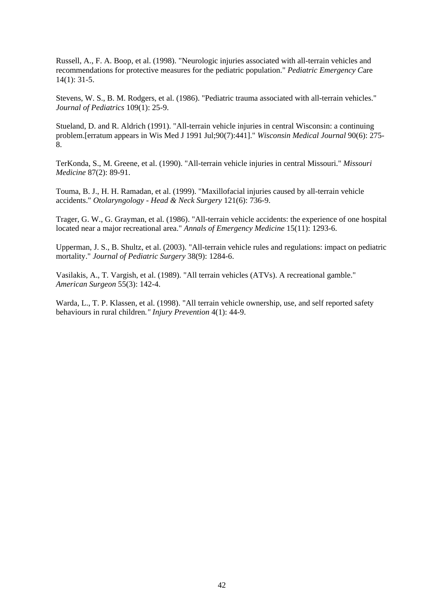Russell, A., F. A. Boop, et al. (1998). "Neurologic injuries associated with all-terrain vehicles and recommendations for protective measures for the pediatric population." *Pediatric Emergency C*are 14(1): 31-5.

Stevens, W. S., B. M. Rodgers, et al. (1986). "Pediatric trauma associated with all-terrain vehicles." *Journal of Pediatrics* 109(1): 25-9.

Stueland, D. and R. Aldrich (1991). "All-terrain vehicle injuries in central Wisconsin: a continuing problem.[erratum appears in Wis Med J 1991 Jul;90(7):441]." *Wisconsin Medical Journal* 90(6): 275- 8.

TerKonda, S., M. Greene, et al. (1990). "All-terrain vehicle injuries in central Missouri." *Missouri Medicine* 87(2): 89-91.

Touma, B. J., H. H. Ramadan, et al. (1999). "Maxillofacial injuries caused by all-terrain vehicle accidents." *Otolaryngology - Head & Neck Surgery* 121(6): 736-9.

Trager, G. W., G. Grayman, et al. (1986). "All-terrain vehicle accidents: the experience of one hospital located near a major recreational area." *Annals of Emergency Medicine* 15(11): 1293-6.

Upperman, J. S., B. Shultz, et al. (2003). "All-terrain vehicle rules and regulations: impact on pediatric mortality." *Journal of Pediatric Surgery* 38(9): 1284-6.

Vasilakis, A., T. Vargish, et al. (1989). "All terrain vehicles (ATVs). A recreational gamble." *American Surgeon* 55(3): 142-4.

Warda, L., T. P. Klassen, et al. (1998). "All terrain vehicle ownership, use, and self reported safety behaviours in rural children*." Injury Prevention* 4(1): 44-9.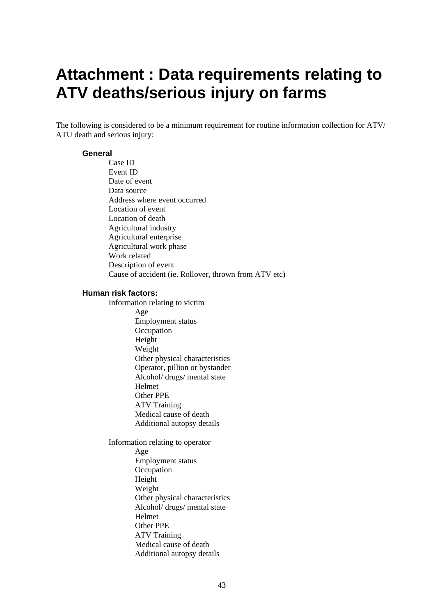# <span id="page-48-0"></span>**Attachment : Data requirements relating to ATV deaths/serious injury on farms**

The following is considered to be a minimum requirement for routine information collection for ATV/ ATU death and serious injury:

### **General**

Case ID Event ID Date of event Data source Address where event occurred Location of event Location of death Agricultural industry Agricultural enterprise Agricultural work phase Work related Description of event Cause of accident (ie. Rollover, thrown from ATV etc) **Human risk factors:**  Information relating to victim Age Employment status **Occupation** Height Weight Other physical characteristics Operator, pillion or bystander Alcohol/ drugs/ mental state Helmet Other PPE ATV Training Medical cause of death Additional autopsy details Information relating to operator Age Employment status **Occupation** Height Weight Other physical characteristics Alcohol/ drugs/ mental state Helmet Other PPE ATV Training Medical cause of death Additional autopsy details